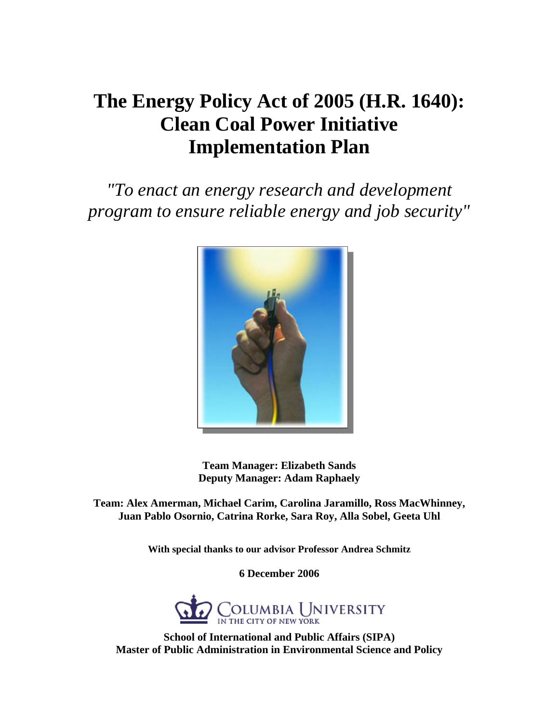*"To enact an energy research and development program to ensure reliable energy and job security"*



**Team Manager: Elizabeth Sands Deputy Manager: Adam Raphaely** 

**Team: Alex Amerman, Michael Carim, Carolina Jaramillo, Ross MacWhinney, Juan Pablo Osornio, Catrina Rorke, Sara Roy, Alla Sobel, Geeta Uhl** 

**With special thanks to our advisor Professor Andrea Schmitz** 

**6 December 2006** 



**School of International and Public Affairs (SIPA) Master of Public Administration in Environmental Science and Policy**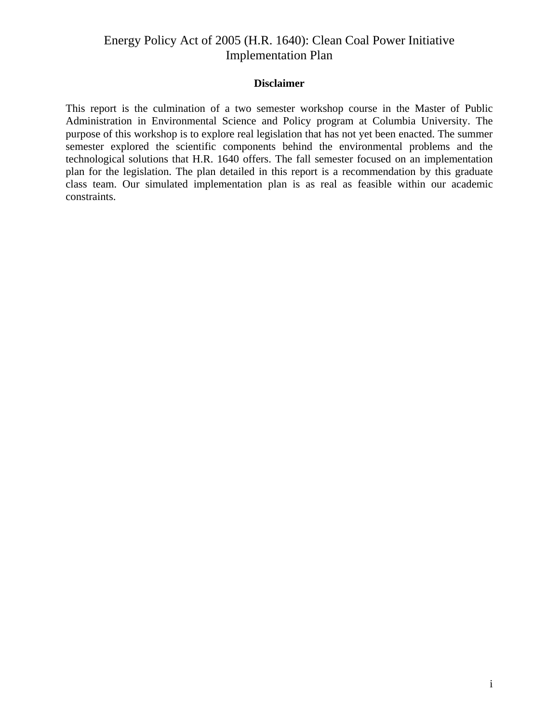#### **Disclaimer**

This report is the culmination of a two semester workshop course in the Master of Public Administration in Environmental Science and Policy program at Columbia University. The purpose of this workshop is to explore real legislation that has not yet been enacted. The summer semester explored the scientific components behind the environmental problems and the technological solutions that H.R. 1640 offers. The fall semester focused on an implementation plan for the legislation. The plan detailed in this report is a recommendation by this graduate class team. Our simulated implementation plan is as real as feasible within our academic constraints.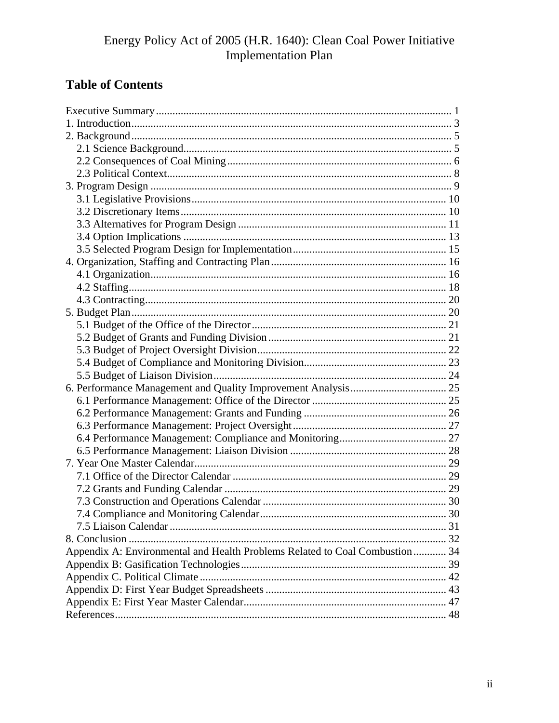# **Table of Contents**

| Appendix A: Environmental and Health Problems Related to Coal Combustion  34 |  |
|------------------------------------------------------------------------------|--|
|                                                                              |  |
|                                                                              |  |
|                                                                              |  |
|                                                                              |  |
|                                                                              |  |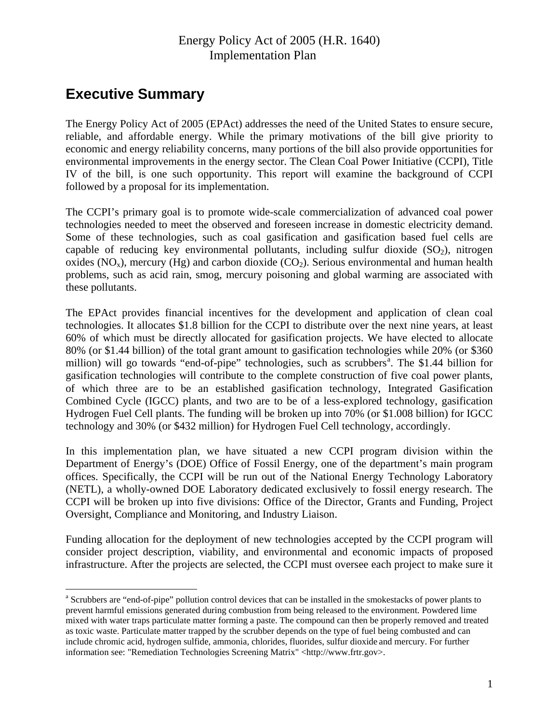# <span id="page-3-0"></span>**Executive Summary**

 $\overline{a}$ 

The Energy Policy Act of 2005 (EPAct) addresses the need of the United States to ensure secure, reliable, and affordable energy. While the primary motivations of the bill give priority to economic and energy reliability concerns, many portions of the bill also provide opportunities for environmental improvements in the energy sector. The Clean Coal Power Initiative (CCPI), Title IV of the bill, is one such opportunity. This report will examine the background of CCPI followed by a proposal for its implementation.

The CCPI's primary goal is to promote wide-scale commercialization of advanced coal power technologies needed to meet the observed and foreseen increase in domestic electricity demand. Some of these technologies, such as coal gasification and gasification based fuel cells are capable of reducing key environmental pollutants, including sulfur dioxide  $(SO<sub>2</sub>)$ , nitrogen oxides (NO<sub>x</sub>), mercury (Hg) and carbon dioxide (CO<sub>2</sub>). Serious environmental and human health problems, such as acid rain, smog, mercury poisoning and global warming are associated with these pollutants.

The EPAct provides financial incentives for the development and application of clean coal technologies. It allocates \$1.8 billion for the CCPI to distribute over the next nine years, at least 60% of which must be directly allocated for gasification projects. We have elected to allocate 80% (or \$1.44 billion) of the total grant amount to gasification technologies while 20% (or \$360 million) will go tow[a](#page-3-1)rds "end-of-pipe" technologies, such as scrubbers<sup>a</sup>. The \$1.44 billion for gasification technologies will contribute to the complete construction of five coal power plants, of which three are to be an established gasification technology, Integrated Gasification Combined Cycle (IGCC) plants, and two are to be of a less-explored technology, gasification Hydrogen Fuel Cell plants. The funding will be broken up into 70% (or \$1.008 billion) for IGCC technology and 30% (or \$432 million) for Hydrogen Fuel Cell technology, accordingly.

In this implementation plan, we have situated a new CCPI program division within the Department of Energy's (DOE) Office of Fossil Energy, one of the department's main program offices. Specifically, the CCPI will be run out of the National Energy Technology Laboratory (NETL), a wholly-owned DOE Laboratory dedicated exclusively to fossil energy research. The CCPI will be broken up into five divisions: Office of the Director, Grants and Funding, Project Oversight, Compliance and Monitoring, and Industry Liaison.

Funding allocation for the deployment of new technologies accepted by the CCPI program will consider project description, viability, and environmental and economic impacts of proposed infrastructure. After the projects are selected, the CCPI must oversee each project to make sure it

<span id="page-3-1"></span><sup>&</sup>lt;sup>a</sup> Scrubbers are "end-of-pipe" pollution control devices that can be installed in the smokestacks of power plants to prevent harmful emissions generated during combustion from being released to the environment. Powdered lime mixed with water traps particulate matter forming a paste. The compound can then be properly removed and treated as toxic waste. Particulate matter trapped by the scrubber depends on the type of fuel being combusted and can include chromic acid, hydrogen sulfide, ammonia, chlorides, fluorides, sulfur dioxide and mercury. For further information see: "Remediation Technologies Screening Matrix" <http://www.frtr.gov>.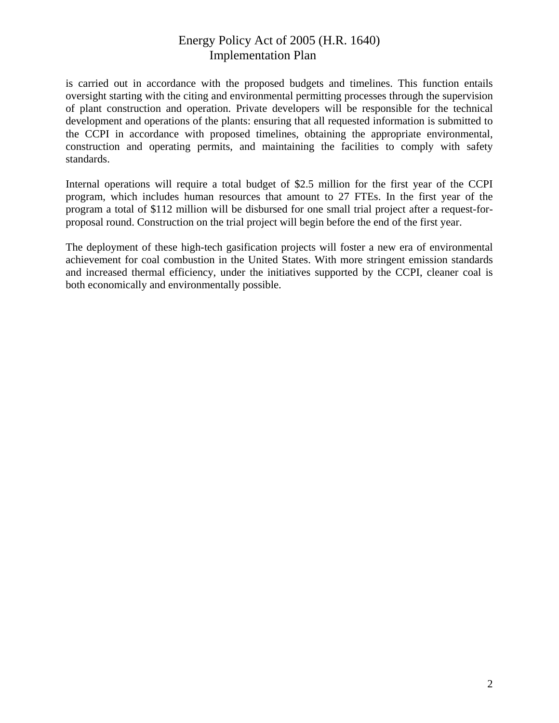is carried out in accordance with the proposed budgets and timelines. This function entails oversight starting with the citing and environmental permitting processes through the supervision of plant construction and operation. Private developers will be responsible for the technical development and operations of the plants: ensuring that all requested information is submitted to the CCPI in accordance with proposed timelines, obtaining the appropriate environmental, construction and operating permits, and maintaining the facilities to comply with safety standards.

Internal operations will require a total budget of \$2.5 million for the first year of the CCPI program, which includes human resources that amount to 27 FTEs. In the first year of the program a total of \$112 million will be disbursed for one small trial project after a request-forproposal round. Construction on the trial project will begin before the end of the first year.

The deployment of these high-tech gasification projects will foster a new era of environmental achievement for coal combustion in the United States. With more stringent emission standards and increased thermal efficiency, under the initiatives supported by the CCPI, cleaner coal is both economically and environmentally possible.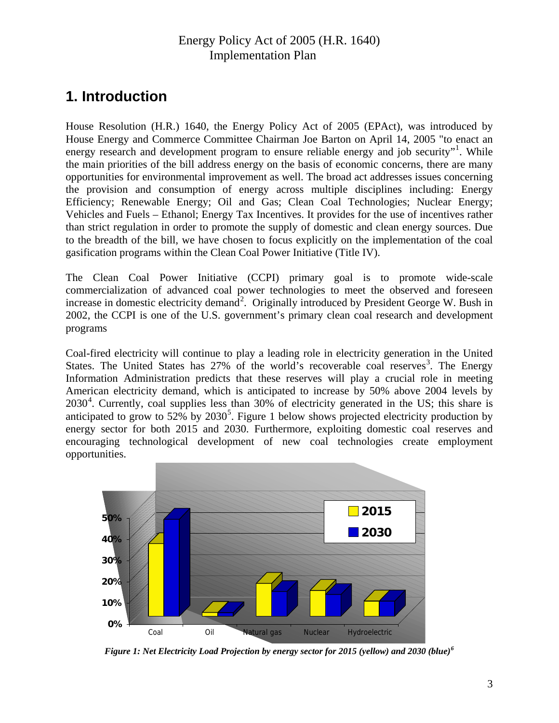# <span id="page-5-0"></span>**1. Introduction**

House Resolution (H.R.) 1640, the Energy Policy Act of 2005 (EPAct), was introduced by House Energy and Commerce Committee Chairman Joe Barton on April 14, 2005 "to enact an energy research and development program to ensure reliable energy and job security"<sup>[1](#page-3-1)</sup>. While the main priorities of the bill address energy on the basis of economic concerns, there are many opportunities for environmental improvement as well. The broad act addresses issues concerning the provision and consumption of energy across multiple disciplines including: Energy Efficiency; Renewable Energy; Oil and Gas; Clean Coal Technologies; Nuclear Energy; Vehicles and Fuels – Ethanol; Energy Tax Incentives. It provides for the use of incentives rather than strict regulation in order to promote the supply of domestic and clean energy sources. Due to the breadth of the bill, we have chosen to focus explicitly on the implementation of the coal gasification programs within the Clean Coal Power Initiative (Title IV).

The Clean Coal Power Initiative (CCPI) primary goal is to promote wide-scale commercialization of advanced coal power technologies to meet the observed and foreseen increase in domestic electricity demand<sup>[2](#page-14-0)</sup>. Originally introduced by President George W. Bush in 2002, the CCPI is one of the U.S. government's primary clean coal research and development programs

Coal-fired electricity will continue to play a leading role in electricity generation in the United States. The United States has 27% of the world's recoverable coal reserves<sup>[3](#page-43-0)</sup>. The Energy Information Administration predicts that these reserves will play a crucial role in meeting American electricity demand, which is anticipated to increase by 50% above 2004 levels by 2030<sup>[4](#page-51-0)</sup>. Currently, coal supplies less than 30% of electricity generated in the US; this share is anticipated to grow to  $52\%$  $52\%$  by  $2030^5$ . Figure 1 below shows projected electricity production by energy sector for both 2015 and 2030. Furthermore, exploiting domestic coal reserves and encouraging technological development of new coal technologies create employment opportunities.



*Figure 1: Net Electricity Load Projection by energy sector for 2015 (yellow) and 2030 (blue)[6](#page-51-1)*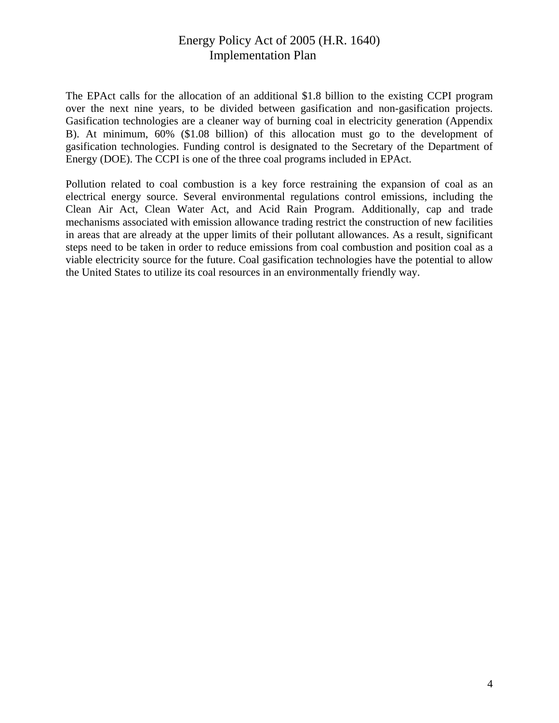The EPAct calls for the allocation of an additional \$1.8 billion to the existing CCPI program over the next nine years, to be divided between gasification and non-gasification projects. Gasification technologies are a cleaner way of burning coal in electricity generation (Appendix B). At minimum, 60% (\$1.08 billion) of this allocation must go to the development of gasification technologies. Funding control is designated to the Secretary of the Department of Energy (DOE). The CCPI is one of the three coal programs included in EPAct.

Pollution related to coal combustion is a key force restraining the expansion of coal as an electrical energy source. Several environmental regulations control emissions, including the Clean Air Act, Clean Water Act, and Acid Rain Program. Additionally, cap and trade mechanisms associated with emission allowance trading restrict the construction of new facilities in areas that are already at the upper limits of their pollutant allowances. As a result, significant steps need to be taken in order to reduce emissions from coal combustion and position coal as a viable electricity source for the future. Coal gasification technologies have the potential to allow the United States to utilize its coal resources in an environmentally friendly way.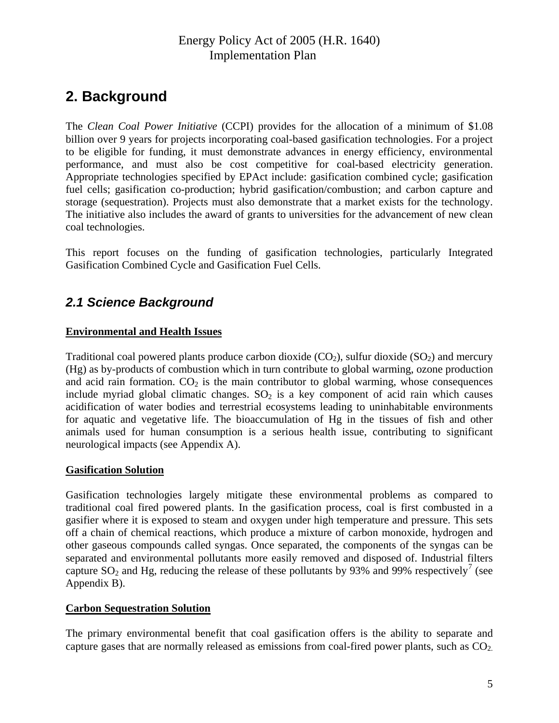# <span id="page-7-0"></span>**2. Background**

The *Clean Coal Power Initiative* (CCPI) provides for the allocation of a minimum of \$1.08 billion over 9 years for projects incorporating coal-based gasification technologies. For a project to be eligible for funding, it must demonstrate advances in energy efficiency, environmental performance, and must also be cost competitive for coal-based electricity generation. Appropriate technologies specified by EPAct include: gasification combined cycle; gasification fuel cells; gasification co-production; hybrid gasification/combustion; and carbon capture and storage (sequestration). Projects must also demonstrate that a market exists for the technology. The initiative also includes the award of grants to universities for the advancement of new clean coal technologies.

This report focuses on the funding of gasification technologies, particularly Integrated Gasification Combined Cycle and Gasification Fuel Cells.

## *2.1 Science Background*

### **Environmental and Health Issues**

Traditional coal powered plants produce carbon dioxide  $(CO_2)$ , sulfur dioxide  $(SO_2)$  and mercury (Hg) as by-products of combustion which in turn contribute to global warming, ozone production and acid rain formation.  $CO<sub>2</sub>$  is the main contributor to global warming, whose consequences include myriad global climatic changes.  $SO_2$  is a key component of acid rain which causes acidification of water bodies and terrestrial ecosystems leading to uninhabitable environments for aquatic and vegetative life. The bioaccumulation of Hg in the tissues of fish and other animals used for human consumption is a serious health issue, contributing to significant neurological impacts (see Appendix A).

#### **Gasification Solution**

Gasification technologies largely mitigate these environmental problems as compared to traditional coal fired powered plants. In the gasification process, coal is first combusted in a gasifier where it is exposed to steam and oxygen under high temperature and pressure. This sets off a chain of chemical reactions, which produce a mixture of carbon monoxide, hydrogen and other gaseous compounds called syngas. Once separated, the components of the syngas can be separated and environmental pollutants more easily removed and disposed of. Industrial filters capture  $SO_2$  and Hg, reducing the release of these pollutants by 93% and 99% respectively<sup>[7](#page-51-1)</sup> (see Appendix B).

#### **Carbon Sequestration Solution**

The primary environmental benefit that coal gasification offers is the ability to separate and capture gases that are normally released as emissions from coal-fired power plants, such as  $CO<sub>2</sub>$ .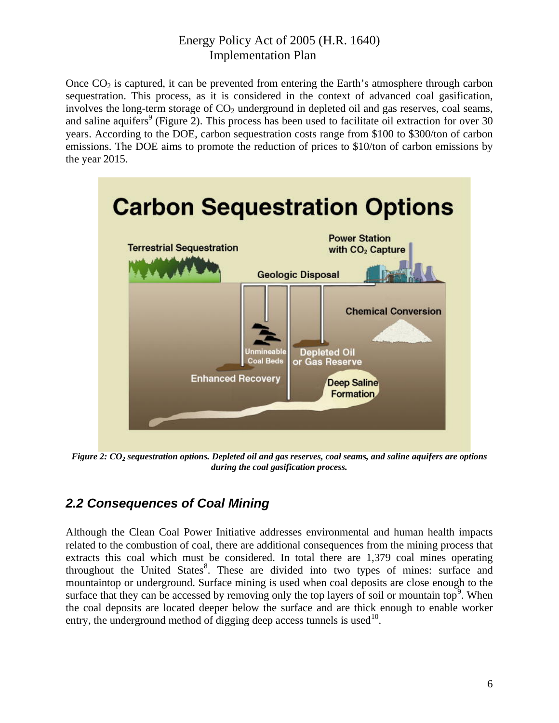<span id="page-8-0"></span>Once  $CO<sub>2</sub>$  is captured, it can be prevented from entering the Earth's atmosphere through carbon sequestration. This process, as it is considered in the context of advanced coal gasification, involves the long-term storage of  $CO<sub>2</sub>$  underground in depleted oil and gas reserves, coal seams, and saline aquifers<sup>9</sup> (Figure 2). This process has been used to facilitate oil extraction for over 30 years. According to the DOE, carbon sequestration costs range from \$100 to \$300/ton of carbon emissions. The DOE aims to promote the reduction of prices to \$10/ton of carbon emissions by the year 2015.



*Figure 2: CO<sub>2</sub> sequestration options. Depleted oil and gas reserves, coal seams, and saline aquifers are options during the coal gasification process.* 

## *2.2 Consequences of Coal Mining*

Although the Clean Coal Power Initiative addresses environmental and human health impacts related to the combustion of coal, there are additional consequences from the mining process that extracts this coal which must be considered. In total there are 1,379 coal mines operating throughout the United States<sup>[8](#page-51-1)</sup>. These are divided into two types of mines: surface and mountaintop or underground. Surface mining is used when coal deposits are close enough to the surface that they can be accessed by removing only the top layers of soil or mountain top<sup>[9](#page-51-1)</sup>. When the coal deposits are located deeper below the surface and are thick enough to enable worker entry, the underground method of digging deep access tunnels is used<sup>[10](#page-51-1)</sup>.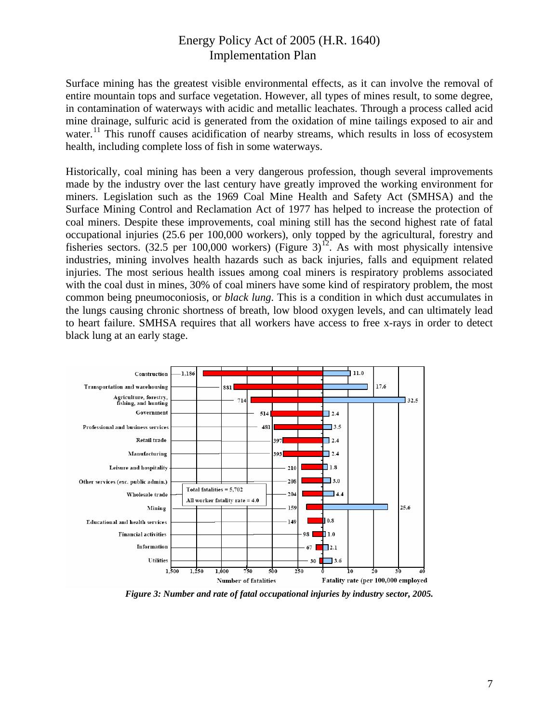Surface mining has the greatest visible environmental effects, as it can involve the removal of entire mountain tops and surface vegetation. However, all types of mines result, to some degree, in contamination of waterways with acidic and metallic leachates. Through a process called acid mine drainage, sulfuric acid is generated from the oxidation of mine tailings exposed to air and water.<sup>[1](#page-51-1)1</sup> This runoff causes acidification of nearby streams, which results in loss of ecosystem health, including complete loss of fish in some waterways.

Historically, coal mining has been a very dangerous profession, though several improvements made by the industry over the last century have greatly improved the working environment for miners. Legislation such as the 1969 Coal Mine Health and Safety Act (SMHSA) and the Surface Mining Control and Reclamation Act of 1977 has helped to increase the protection of coal miners. Despite these improvements, coal mining still has the second highest rate of fatal occupational injuries (25.6 per 100,000 workers), only topped by the agricultural, forestry and fisheries sectors. (32.5 per 100,000 workers) (Figure 3)<sup>[12](#page-51-1)</sup>. As with most physically intensive industries, mining involves health hazards such as back injuries, falls and equipment related injuries. The most serious health issues among coal miners is respiratory problems associated with the coal dust in mines, 30% of coal miners have some kind of respiratory problem, the most common being pneumoconiosis, or *black lung*. This is a condition in which dust accumulates in the lungs causing chronic shortness of breath, low blood oxygen levels, and can ultimately lead to heart failure. SMHSA requires that all workers have access to free x-rays in order to detect black lung at an early stage.



*Figure 3: Number and rate of fatal occupational injuries by industry sector, 2005.*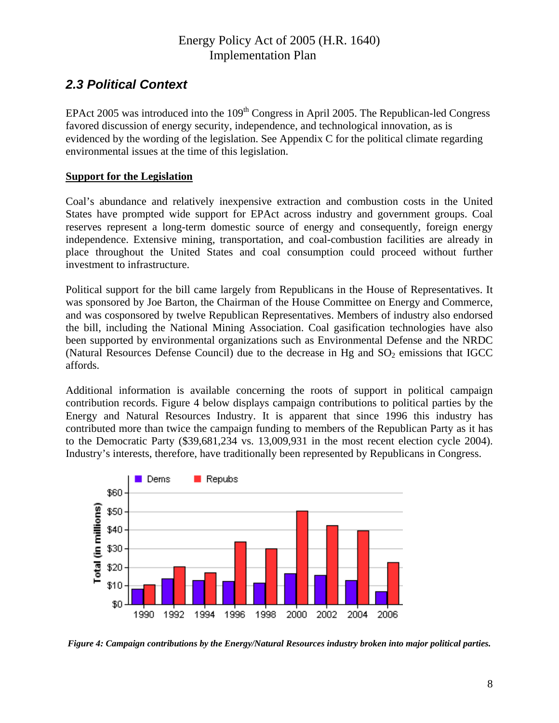## <span id="page-10-0"></span>*2.3 Political Context*

EPAct 2005 was introduced into the  $109<sup>th</sup>$  Congress in April 2005. The Republican-led Congress favored discussion of energy security, independence, and technological innovation, as is evidenced by the wording of the legislation. See Appendix C for the political climate regarding environmental issues at the time of this legislation.

### **Support for the Legislation**

Coal's abundance and relatively inexpensive extraction and combustion costs in the United States have prompted wide support for EPAct across industry and government groups. Coal reserves represent a long-term domestic source of energy and consequently, foreign energy independence. Extensive mining, transportation, and coal-combustion facilities are already in place throughout the United States and coal consumption could proceed without further investment to infrastructure.

Political support for the bill came largely from Republicans in the House of Representatives. It was sponsored by Joe Barton, the Chairman of the House Committee on Energy and Commerce, and was cosponsored by twelve Republican Representatives. Members of industry also endorsed the bill, including the National Mining Association. Coal gasification technologies have also been supported by environmental organizations such as Environmental Defense and the NRDC (Natural Resources Defense Council) due to the decrease in Hg and  $SO_2$  emissions that IGCC affords.

Additional information is available concerning the roots of support in political campaign contribution records. Figure 4 below displays campaign contributions to political parties by the Energy and Natural Resources Industry. It is apparent that since 1996 this industry has contributed more than twice the campaign funding to members of the Republican Party as it has to the Democratic Party (\$39,681,234 vs. 13,009,931 in the most recent election cycle 2004). Industry's interests, therefore, have traditionally been represented by Republicans in Congress.



*Figure 4: Campaign contributions by the Energy/Natural Resources industry broken into major political parties.*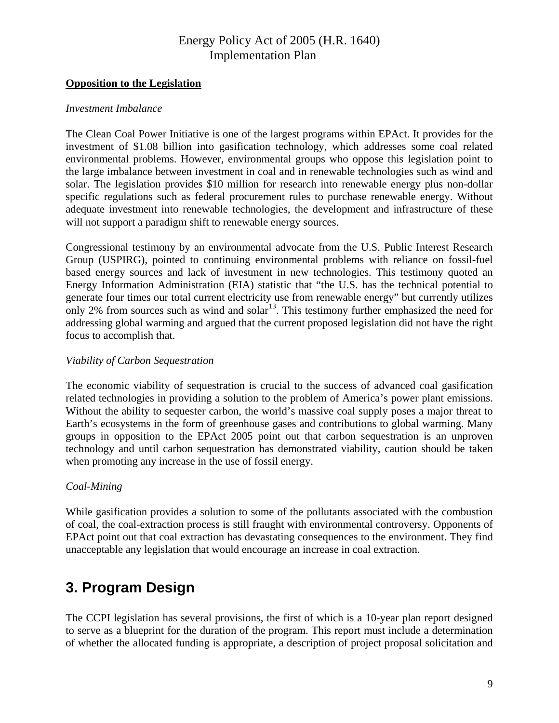### <span id="page-11-0"></span>**Opposition to the Legislation**

#### *Investment Imbalance*

The Clean Coal Power Initiative is one of the largest programs within EPAct. It provides for the investment of \$1.08 billion into gasification technology, which addresses some coal related environmental problems. However, environmental groups who oppose this legislation point to the large imbalance between investment in coal and in renewable technologies such as wind and solar. The legislation provides \$10 million for research into renewable energy plus non-dollar specific regulations such as federal procurement rules to purchase renewable energy. Without adequate investment into renewable technologies, the development and infrastructure of these will not support a paradigm shift to renewable energy sources.

Congressional testimony by an environmental advocate from the U.S. Public Interest Research Group (USPIRG), pointed to continuing environmental problems with reliance on fossil-fuel based energy sources and lack of investment in new technologies. This testimony quoted an Energy Information Administration (EIA) statistic that "the U.S. has the technical potential to generate four times our total current electricity use from renewable energy" but currently utilizes only 2% from sources such as wind and solar<sup>[13](#page-51-1)</sup>. This testimony further emphasized the need for addressing global warming and argued that the current proposed legislation did not have the right focus to accomplish that.

#### *Viability of Carbon Sequestration*

The economic viability of sequestration is crucial to the success of advanced coal gasification related technologies in providing a solution to the problem of America's power plant emissions. Without the ability to sequester carbon, the world's massive coal supply poses a major threat to Earth's ecosystems in the form of greenhouse gases and contributions to global warming. Many groups in opposition to the EPAct 2005 point out that carbon sequestration is an unproven technology and until carbon sequestration has demonstrated viability, caution should be taken when promoting any increase in the use of fossil energy.

#### *Coal-Mining*

While gasification provides a solution to some of the pollutants associated with the combustion of coal, the coal-extraction process is still fraught with environmental controversy. Opponents of EPAct point out that coal extraction has devastating consequences to the environment. They find unacceptable any legislation that would encourage an increase in coal extraction.

# **3. Program Design**

The CCPI legislation has several provisions, the first of which is a 10-year plan report designed to serve as a blueprint for the duration of the program. This report must include a determination of whether the allocated funding is appropriate, a description of project proposal solicitation and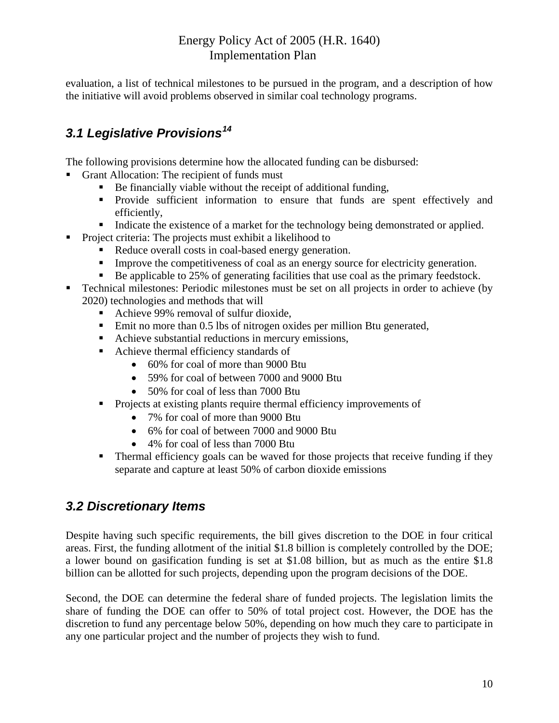<span id="page-12-0"></span>evaluation, a list of technical milestones to be pursued in the program, and a description of how the initiative will avoid problems observed in similar coal technology programs.

## *3.1 Legislative Provisions[14](#page-51-1)*

The following provisions determine how the allocated funding can be disbursed:

- Grant Allocation: The recipient of funds must
	- Be financially viable without the receipt of additional funding,
	- Provide sufficient information to ensure that funds are spent effectively and efficiently,
	- Indicate the existence of a market for the technology being demonstrated or applied.
- Project criteria: The projects must exhibit a likelihood to
	- Reduce overall costs in coal-based energy generation.
	- Improve the competitiveness of coal as an energy source for electricity generation.
	- Be applicable to 25% of generating facilities that use coal as the primary feedstock.
- Technical milestones: Periodic milestones must be set on all projects in order to achieve (by 2020) technologies and methods that will
	- Achieve 99% removal of sulfur dioxide,
	- Emit no more than 0.5 lbs of nitrogen oxides per million Btu generated,
	- Achieve substantial reductions in mercury emissions,
	- Achieve thermal efficiency standards of
		- 60% for coal of more than 9000 Btu
		- 59% for coal of between 7000 and 9000 Btu
		- 50% for coal of less than 7000 Btu
	- **Projects at existing plants require thermal efficiency improvements of** 
		- 7% for coal of more than 9000 Btu
		- 6% for coal of between 7000 and 9000 Btu
		- 4% for coal of less than 7000 Btu
	- **Thermal efficiency goals can be waved for those projects that receive funding if they** separate and capture at least 50% of carbon dioxide emissions

## *3.2 Discretionary Items*

Despite having such specific requirements, the bill gives discretion to the DOE in four critical areas. First, the funding allotment of the initial \$1.8 billion is completely controlled by the DOE; a lower bound on gasification funding is set at \$1.08 billion, but as much as the entire \$1.8 billion can be allotted for such projects, depending upon the program decisions of the DOE.

Second, the DOE can determine the federal share of funded projects. The legislation limits the share of funding the DOE can offer to 50% of total project cost. However, the DOE has the discretion to fund any percentage below 50%, depending on how much they care to participate in any one particular project and the number of projects they wish to fund.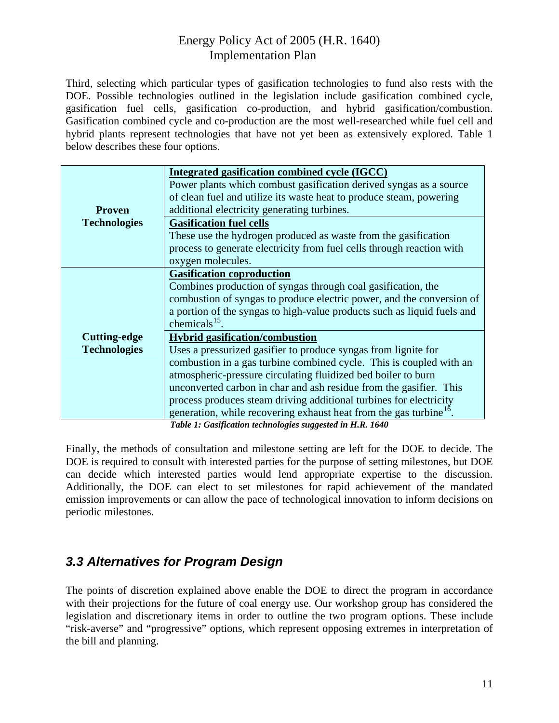<span id="page-13-0"></span>Third, selecting which particular types of gasification technologies to fund also rests with the DOE. Possible technologies outlined in the legislation include gasification combined cycle, gasification fuel cells, gasification co-production, and hybrid gasification/combustion. Gasification combined cycle and co-production are the most well-researched while fuel cell and hybrid plants represent technologies that have not yet been as extensively explored. Table 1 below describes these four options.

|                     | <b>Integrated gasification combined cycle (IGCC)</b>                           |
|---------------------|--------------------------------------------------------------------------------|
|                     | Power plants which combust gasification derived syngas as a source             |
|                     | of clean fuel and utilize its waste heat to produce steam, powering            |
| <b>Proven</b>       | additional electricity generating turbines.                                    |
| <b>Technologies</b> | <b>Gasification fuel cells</b>                                                 |
|                     | These use the hydrogen produced as waste from the gasification                 |
|                     | process to generate electricity from fuel cells through reaction with          |
|                     | oxygen molecules.                                                              |
|                     | <b>Gasification coproduction</b>                                               |
|                     | Combines production of syngas through coal gasification, the                   |
|                     | combustion of syngas to produce electric power, and the conversion of          |
|                     | a portion of the syngas to high-value products such as liquid fuels and        |
|                     | chemicals $^{15}$ .                                                            |
| <b>Cutting-edge</b> | <b>Hybrid gasification/combustion</b>                                          |
| <b>Technologies</b> | Uses a pressurized gasifier to produce syngas from lignite for                 |
|                     | combustion in a gas turbine combined cycle. This is coupled with an            |
|                     | atmospheric-pressure circulating fluidized bed boiler to burn                  |
|                     | unconverted carbon in char and ash residue from the gasifier. This             |
|                     | process produces steam driving additional turbines for electricity             |
|                     | generation, while recovering exhaust heat from the gas turbine <sup>16</sup> . |
|                     | Table 1: Gasification technologies supposted in $H R$ 1640                     |

*Table 1: Gasification technologies suggested in H.R. 1640* 

Finally, the methods of consultation and milestone setting are left for the DOE to decide. The DOE is required to consult with interested parties for the purpose of setting milestones, but DOE can decide which interested parties would lend appropriate expertise to the discussion. Additionally, the DOE can elect to set milestones for rapid achievement of the mandated emission improvements or can allow the pace of technological innovation to inform decisions on periodic milestones.

## *3.3 Alternatives for Program Design*

The points of discretion explained above enable the DOE to direct the program in accordance with their projections for the future of coal energy use. Our workshop group has considered the legislation and discretionary items in order to outline the two program options. These include "risk-averse" and "progressive" options, which represent opposing extremes in interpretation of the bill and planning.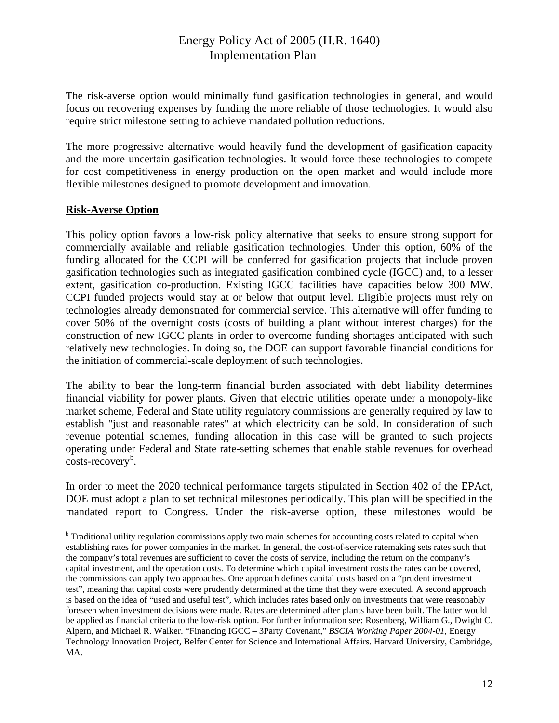<span id="page-14-0"></span>The risk-averse option would minimally fund gasification technologies in general, and would focus on recovering expenses by funding the more reliable of those technologies. It would also require strict milestone setting to achieve mandated pollution reductions.

The more progressive alternative would heavily fund the development of gasification capacity and the more uncertain gasification technologies. It would force these technologies to compete for cost competitiveness in energy production on the open market and would include more flexible milestones designed to promote development and innovation.

#### **Risk-Averse Option**

1

This policy option favors a low-risk policy alternative that seeks to ensure strong support for commercially available and reliable gasification technologies. Under this option, 60% of the funding allocated for the CCPI will be conferred for gasification projects that include proven gasification technologies such as integrated gasification combined cycle (IGCC) and, to a lesser extent, gasification co-production. Existing IGCC facilities have capacities below 300 MW. CCPI funded projects would stay at or below that output level. Eligible projects must rely on technologies already demonstrated for commercial service. This alternative will offer funding to cover 50% of the overnight costs (costs of building a plant without interest charges) for the construction of new IGCC plants in order to overcome funding shortages anticipated with such relatively new technologies. In doing so, the DOE can support favorable financial conditions for the initiation of commercial-scale deployment of such technologies.

The ability to bear the long-term financial burden associated with debt liability determines financial viability for power plants. Given that electric utilities operate under a monopoly-like market scheme, Federal and State utility regulatory commissions are generally required by law to establish "just and reasonable rates" at which electricity can be sold. In consideration of such revenue potential schemes, funding allocation in this case will be granted to such projects operating under Federal and State rate-setting schemes that enable stable revenues for overhead  $costs-recovery<sup>b</sup>$  $costs-recovery<sup>b</sup>$  $costs-recovery<sup>b</sup>$ .

In order to meet the 2020 technical performance targets stipulated in Section 402 of the EPAct, DOE must adopt a plan to set technical milestones periodically. This plan will be specified in the mandated report to Congress. Under the risk-averse option*,* these milestones would be

<sup>&</sup>lt;sup>b</sup> Traditional utility regulation commissions apply two main schemes for accounting costs related to capital when establishing rates for power companies in the market. In general, the cost-of-service ratemaking sets rates such that the company's total revenues are sufficient to cover the costs of service, including the return on the company's capital investment, and the operation costs. To determine which capital investment costs the rates can be covered, the commissions can apply two approaches. One approach defines capital costs based on a "prudent investment test", meaning that capital costs were prudently determined at the time that they were executed. A second approach is based on the idea of "used and useful test", which includes rates based only on investments that were reasonably foreseen when investment decisions were made. Rates are determined after plants have been built. The latter would be applied as financial criteria to the low-risk option. For further information see: Rosenberg, William G., Dwight C. Alpern, and Michael R. Walker. "Financing IGCC – 3Party Covenant," *BSCIA Working Paper 2004-01*, Energy Technology Innovation Project, Belfer Center for Science and International Affairs. Harvard University, Cambridge, MA.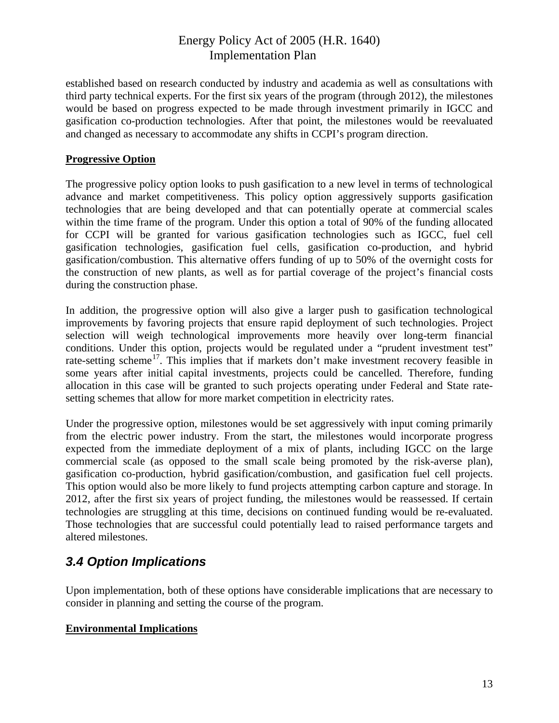<span id="page-15-0"></span>established based on research conducted by industry and academia as well as consultations with third party technical experts. For the first six years of the program (through 2012), the milestones would be based on progress expected to be made through investment primarily in IGCC and gasification co-production technologies. After that point, the milestones would be reevaluated and changed as necessary to accommodate any shifts in CCPI's program direction.

#### **Progressive Option**

The progressive policy option looks to push gasification to a new level in terms of technological advance and market competitiveness. This policy option aggressively supports gasification technologies that are being developed and that can potentially operate at commercial scales within the time frame of the program. Under this option a total of 90% of the funding allocated for CCPI will be granted for various gasification technologies such as IGCC, fuel cell gasification technologies, gasification fuel cells, gasification co-production, and hybrid gasification/combustion. This alternative offers funding of up to 50% of the overnight costs for the construction of new plants, as well as for partial coverage of the project's financial costs during the construction phase.

In addition, the progressive option will also give a larger push to gasification technological improvements by favoring projects that ensure rapid deployment of such technologies. Project selection will weigh technological improvements more heavily over long-term financial conditions. Under this option, projects would be regulated under a "prudent investment test" rate-setting scheme<sup>[1](#page-51-1)7</sup>. This implies that if markets don't make investment recovery feasible in some years after initial capital investments, projects could be cancelled. Therefore, funding allocation in this case will be granted to such projects operating under Federal and State ratesetting schemes that allow for more market competition in electricity rates.

Under the progressive option, milestones would be set aggressively with input coming primarily from the electric power industry. From the start, the milestones would incorporate progress expected from the immediate deployment of a mix of plants, including IGCC on the large commercial scale (as opposed to the small scale being promoted by the risk-averse plan), gasification co-production, hybrid gasification/combustion, and gasification fuel cell projects. This option would also be more likely to fund projects attempting carbon capture and storage. In 2012, after the first six years of project funding, the milestones would be reassessed. If certain technologies are struggling at this time, decisions on continued funding would be re-evaluated. Those technologies that are successful could potentially lead to raised performance targets and altered milestones.

## *3.4 Option Implications*

Upon implementation, both of these options have considerable implications that are necessary to consider in planning and setting the course of the program.

### **Environmental Implications**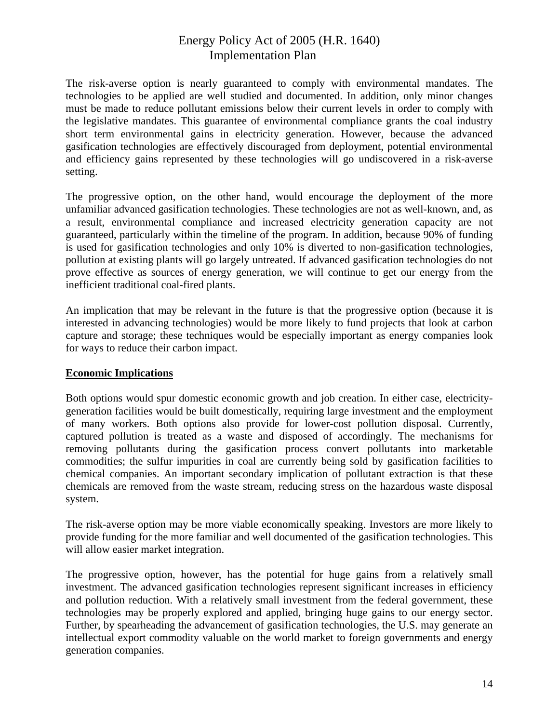The risk-averse option is nearly guaranteed to comply with environmental mandates. The technologies to be applied are well studied and documented. In addition, only minor changes must be made to reduce pollutant emissions below their current levels in order to comply with the legislative mandates. This guarantee of environmental compliance grants the coal industry short term environmental gains in electricity generation. However, because the advanced gasification technologies are effectively discouraged from deployment, potential environmental and efficiency gains represented by these technologies will go undiscovered in a risk-averse setting.

The progressive option, on the other hand, would encourage the deployment of the more unfamiliar advanced gasification technologies. These technologies are not as well-known, and, as a result, environmental compliance and increased electricity generation capacity are not guaranteed, particularly within the timeline of the program. In addition, because 90% of funding is used for gasification technologies and only 10% is diverted to non-gasification technologies, pollution at existing plants will go largely untreated. If advanced gasification technologies do not prove effective as sources of energy generation, we will continue to get our energy from the inefficient traditional coal-fired plants.

An implication that may be relevant in the future is that the progressive option (because it is interested in advancing technologies) would be more likely to fund projects that look at carbon capture and storage; these techniques would be especially important as energy companies look for ways to reduce their carbon impact.

#### **Economic Implications**

Both options would spur domestic economic growth and job creation. In either case, electricitygeneration facilities would be built domestically, requiring large investment and the employment of many workers. Both options also provide for lower-cost pollution disposal. Currently, captured pollution is treated as a waste and disposed of accordingly. The mechanisms for removing pollutants during the gasification process convert pollutants into marketable commodities; the sulfur impurities in coal are currently being sold by gasification facilities to chemical companies. An important secondary implication of pollutant extraction is that these chemicals are removed from the waste stream, reducing stress on the hazardous waste disposal system.

The risk-averse option may be more viable economically speaking. Investors are more likely to provide funding for the more familiar and well documented of the gasification technologies. This will allow easier market integration.

The progressive option, however, has the potential for huge gains from a relatively small investment. The advanced gasification technologies represent significant increases in efficiency and pollution reduction. With a relatively small investment from the federal government, these technologies may be properly explored and applied, bringing huge gains to our energy sector. Further, by spearheading the advancement of gasification technologies, the U.S. may generate an intellectual export commodity valuable on the world market to foreign governments and energy generation companies.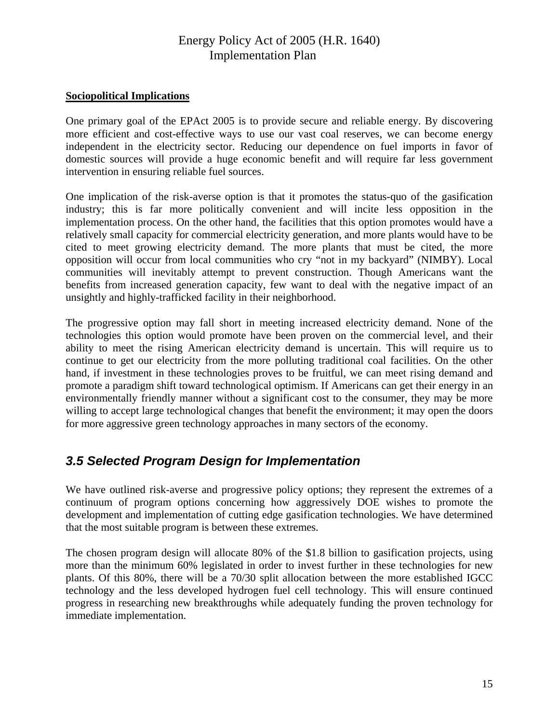#### <span id="page-17-0"></span>**Sociopolitical Implications**

One primary goal of the EPAct 2005 is to provide secure and reliable energy. By discovering more efficient and cost-effective ways to use our vast coal reserves, we can become energy independent in the electricity sector. Reducing our dependence on fuel imports in favor of domestic sources will provide a huge economic benefit and will require far less government intervention in ensuring reliable fuel sources.

One implication of the risk-averse option is that it promotes the status-quo of the gasification industry; this is far more politically convenient and will incite less opposition in the implementation process. On the other hand, the facilities that this option promotes would have a relatively small capacity for commercial electricity generation, and more plants would have to be cited to meet growing electricity demand. The more plants that must be cited, the more opposition will occur from local communities who cry "not in my backyard" (NIMBY). Local communities will inevitably attempt to prevent construction. Though Americans want the benefits from increased generation capacity, few want to deal with the negative impact of an unsightly and highly-trafficked facility in their neighborhood.

The progressive option may fall short in meeting increased electricity demand. None of the technologies this option would promote have been proven on the commercial level, and their ability to meet the rising American electricity demand is uncertain. This will require us to continue to get our electricity from the more polluting traditional coal facilities. On the other hand, if investment in these technologies proves to be fruitful, we can meet rising demand and promote a paradigm shift toward technological optimism. If Americans can get their energy in an environmentally friendly manner without a significant cost to the consumer, they may be more willing to accept large technological changes that benefit the environment; it may open the doors for more aggressive green technology approaches in many sectors of the economy.

## *3.5 Selected Program Design for Implementation*

We have outlined risk-averse and progressive policy options; they represent the extremes of a continuum of program options concerning how aggressively DOE wishes to promote the development and implementation of cutting edge gasification technologies. We have determined that the most suitable program is between these extremes.

The chosen program design will allocate 80% of the \$1.8 billion to gasification projects, using more than the minimum 60% legislated in order to invest further in these technologies for new plants. Of this 80%, there will be a 70/30 split allocation between the more established IGCC technology and the less developed hydrogen fuel cell technology. This will ensure continued progress in researching new breakthroughs while adequately funding the proven technology for immediate implementation.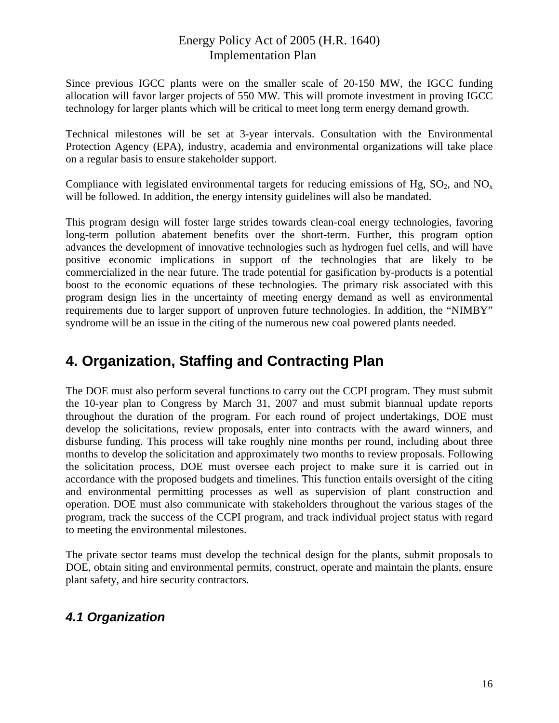<span id="page-18-0"></span>Since previous IGCC plants were on the smaller scale of 20-150 MW, the IGCC funding allocation will favor larger projects of 550 MW. This will promote investment in proving IGCC technology for larger plants which will be critical to meet long term energy demand growth.

Technical milestones will be set at 3-year intervals. Consultation with the Environmental Protection Agency (EPA), industry, academia and environmental organizations will take place on a regular basis to ensure stakeholder support.

Compliance with legislated environmental targets for reducing emissions of Hg,  $SO_2$ , and  $NO<sub>x</sub>$ will be followed. In addition, the energy intensity guidelines will also be mandated.

This program design will foster large strides towards clean-coal energy technologies, favoring long-term pollution abatement benefits over the short-term. Further, this program option advances the development of innovative technologies such as hydrogen fuel cells, and will have positive economic implications in support of the technologies that are likely to be commercialized in the near future. The trade potential for gasification by-products is a potential boost to the economic equations of these technologies. The primary risk associated with this program design lies in the uncertainty of meeting energy demand as well as environmental requirements due to larger support of unproven future technologies. In addition, the "NIMBY" syndrome will be an issue in the citing of the numerous new coal powered plants needed.

# **4. Organization, Staffing and Contracting Plan**

The DOE must also perform several functions to carry out the CCPI program. They must submit the 10-year plan to Congress by March 31, 2007 and must submit biannual update reports throughout the duration of the program. For each round of project undertakings, DOE must develop the solicitations, review proposals, enter into contracts with the award winners, and disburse funding. This process will take roughly nine months per round, including about three months to develop the solicitation and approximately two months to review proposals. Following the solicitation process, DOE must oversee each project to make sure it is carried out in accordance with the proposed budgets and timelines. This function entails oversight of the citing and environmental permitting processes as well as supervision of plant construction and operation. DOE must also communicate with stakeholders throughout the various stages of the program, track the success of the CCPI program, and track individual project status with regard to meeting the environmental milestones.

The private sector teams must develop the technical design for the plants, submit proposals to DOE, obtain siting and environmental permits, construct, operate and maintain the plants, ensure plant safety, and hire security contractors.

## *4.1 Organization*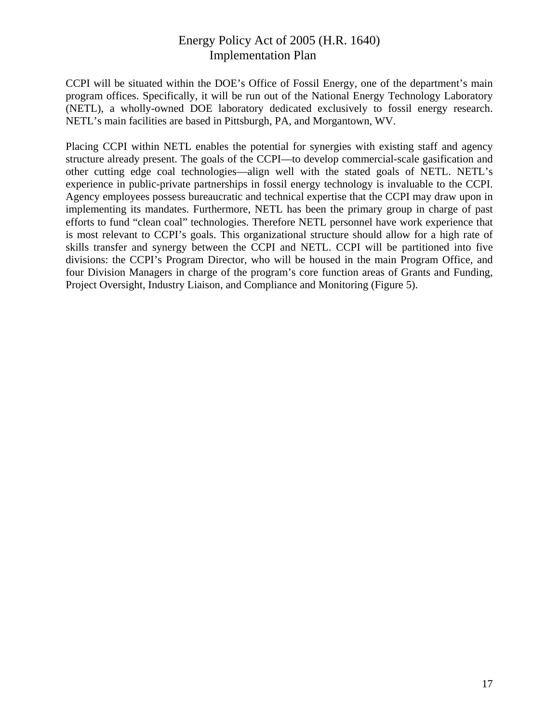CCPI will be situated within the DOE's Office of Fossil Energy, one of the department's main program offices. Specifically, it will be run out of the National Energy Technology Laboratory (NETL), a wholly-owned DOE laboratory dedicated exclusively to fossil energy research. NETL's main facilities are based in Pittsburgh, PA, and Morgantown, WV.

Placing CCPI within NETL enables the potential for synergies with existing staff and agency structure already present. The goals of the CCPI—to develop commercial-scale gasification and other cutting edge coal technologies—align well with the stated goals of NETL. NETL's experience in public-private partnerships in fossil energy technology is invaluable to the CCPI. Agency employees possess bureaucratic and technical expertise that the CCPI may draw upon in implementing its mandates. Furthermore, NETL has been the primary group in charge of past efforts to fund "clean coal" technologies. Therefore NETL personnel have work experience that is most relevant to CCPI's goals. This organizational structure should allow for a high rate of skills transfer and synergy between the CCPI and NETL. CCPI will be partitioned into five divisions: the CCPI's Program Director, who will be housed in the main Program Office, and four Division Managers in charge of the program's core function areas of Grants and Funding, Project Oversight, Industry Liaison, and Compliance and Monitoring (Figure 5).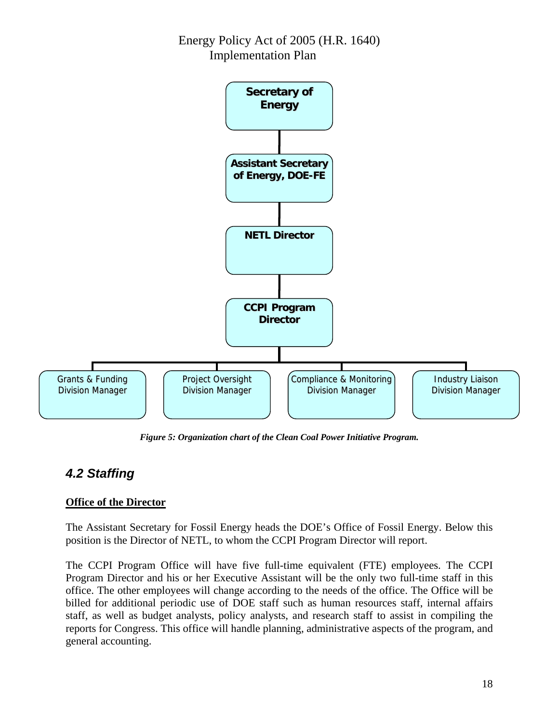<span id="page-20-0"></span>

*Figure 5: Organization chart of the Clean Coal Power Initiative Program.* 

## *4.2 Staffing*

#### **Office of the Director**

The Assistant Secretary for Fossil Energy heads the DOE's Office of Fossil Energy. Below this position is the Director of NETL, to whom the CCPI Program Director will report.

The CCPI Program Office will have five full-time equivalent (FTE) employees. The CCPI Program Director and his or her Executive Assistant will be the only two full-time staff in this office. The other employees will change according to the needs of the office. The Office will be billed for additional periodic use of DOE staff such as human resources staff, internal affairs staff, as well as budget analysts, policy analysts, and research staff to assist in compiling the reports for Congress. This office will handle planning, administrative aspects of the program, and general accounting.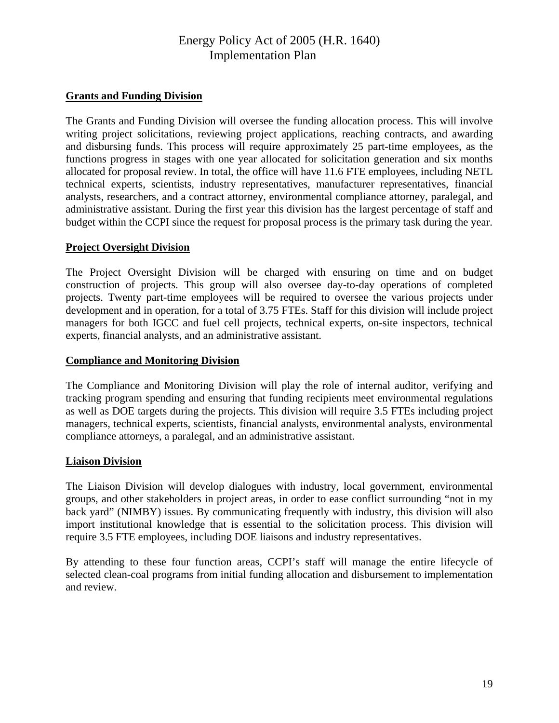#### **Grants and Funding Division**

The Grants and Funding Division will oversee the funding allocation process. This will involve writing project solicitations, reviewing project applications, reaching contracts, and awarding and disbursing funds. This process will require approximately 25 part-time employees, as the functions progress in stages with one year allocated for solicitation generation and six months allocated for proposal review. In total, the office will have 11.6 FTE employees, including NETL technical experts, scientists, industry representatives, manufacturer representatives, financial analysts, researchers, and a contract attorney, environmental compliance attorney, paralegal, and administrative assistant. During the first year this division has the largest percentage of staff and budget within the CCPI since the request for proposal process is the primary task during the year.

#### **Project Oversight Division**

The Project Oversight Division will be charged with ensuring on time and on budget construction of projects. This group will also oversee day-to-day operations of completed projects. Twenty part-time employees will be required to oversee the various projects under development and in operation, for a total of 3.75 FTEs. Staff for this division will include project managers for both IGCC and fuel cell projects, technical experts, on-site inspectors, technical experts, financial analysts, and an administrative assistant.

#### **Compliance and Monitoring Division**

The Compliance and Monitoring Division will play the role of internal auditor, verifying and tracking program spending and ensuring that funding recipients meet environmental regulations as well as DOE targets during the projects. This division will require 3.5 FTEs including project managers, technical experts, scientists, financial analysts, environmental analysts, environmental compliance attorneys, a paralegal, and an administrative assistant.

#### **Liaison Division**

The Liaison Division will develop dialogues with industry, local government, environmental groups, and other stakeholders in project areas, in order to ease conflict surrounding "not in my back yard" (NIMBY) issues. By communicating frequently with industry, this division will also import institutional knowledge that is essential to the solicitation process. This division will require 3.5 FTE employees, including DOE liaisons and industry representatives.

By attending to these four function areas, CCPI's staff will manage the entire lifecycle of selected clean-coal programs from initial funding allocation and disbursement to implementation and review.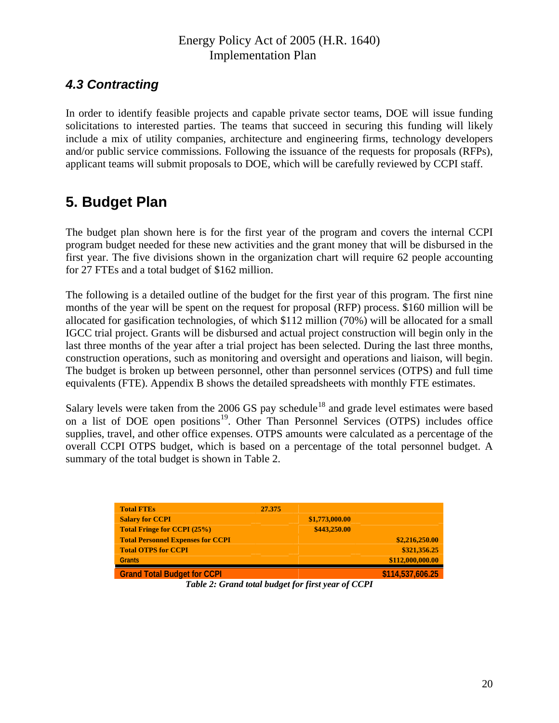## <span id="page-22-0"></span>*4.3 Contracting*

In order to identify feasible projects and capable private sector teams, DOE will issue funding solicitations to interested parties. The teams that succeed in securing this funding will likely include a mix of utility companies, architecture and engineering firms, technology developers and/or public service commissions. Following the issuance of the requests for proposals (RFPs), applicant teams will submit proposals to DOE, which will be carefully reviewed by CCPI staff.

# **5. Budget Plan**

The budget plan shown here is for the first year of the program and covers the internal CCPI program budget needed for these new activities and the grant money that will be disbursed in the first year. The five divisions shown in the organization chart will require 62 people accounting for 27 FTEs and a total budget of \$162 million.

The following is a detailed outline of the budget for the first year of this program. The first nine months of the year will be spent on the request for proposal (RFP) process. \$160 million will be allocated for gasification technologies, of which \$112 million (70%) will be allocated for a small IGCC trial project. Grants will be disbursed and actual project construction will begin only in the last three months of the year after a trial project has been selected. During the last three months, construction operations, such as monitoring and oversight and operations and liaison, will begin. The budget is broken up between personnel, other than personnel services (OTPS) and full time equivalents (FTE). Appendix B shows the detailed spreadsheets with monthly FTE estimates.

Salary levels were taken from the 2006 GS pay schedule<sup>[1](#page-51-1)8</sup> and grade level estimates were based on a list of DOE open positions<sup>[19](#page-51-1)</sup>. Other Than Personnel Services (OTPS) includes office supplies, travel, and other office expenses. OTPS amounts were calculated as a percentage of the overall CCPI OTPS budget, which is based on a percentage of the total personnel budget. A summary of the total budget is shown in Table 2.

| <b>Total FTEs</b>                        | 27.375         |                  |
|------------------------------------------|----------------|------------------|
| <b>Salary for CCPI</b>                   | \$1,773,000.00 |                  |
| <b>Total Fringe for CCPI (25%)</b>       | \$443,250.00   |                  |
| <b>Total Personnel Expenses for CCPI</b> |                | \$2,216,250.00   |
| <b>Total OTPS for CCPI</b>               |                | \$321,356.25     |
| <b>Grants</b>                            |                | \$112,000,000.00 |
| <b>Grand Total Budget for CCPI</b>       |                | \$114,537,606.25 |

*Table 2: Grand total budget for first year of CCPI*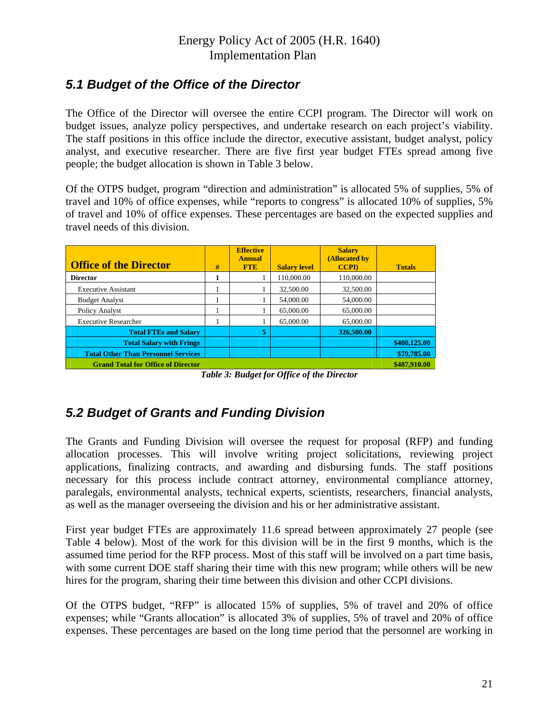## <span id="page-23-0"></span>*5.1 Budget of the Office of the Director*

The Office of the Director will oversee the entire CCPI program. The Director will work on budget issues, analyze policy perspectives, and undertake research on each project's viability. The staff positions in this office include the director, executive assistant, budget analyst, policy analyst, and executive researcher. There are five first year budget FTEs spread among five people; the budget allocation is shown in Table 3 below.

Of the OTPS budget, program "direction and administration" is allocated 5% of supplies, 5% of travel and 10% of office expenses, while "reports to congress" is allocated 10% of supplies, 5% of travel and 10% of office expenses. These percentages are based on the expected supplies and travel needs of this division.

| <b>Office of the Director</b>              | # | <b>Effective</b><br><b>Annual</b><br><b>FTE</b> | <b>Salary level</b> | <b>Salary</b><br>(Allocated by<br><b>CCPI</b> | <b>Totals</b> |
|--------------------------------------------|---|-------------------------------------------------|---------------------|-----------------------------------------------|---------------|
| <b>Director</b>                            |   |                                                 | 110,000.00          | 110,000.00                                    |               |
| <b>Executive Assistant</b>                 |   |                                                 | 32,500.00           | 32,500.00                                     |               |
| <b>Budget Analyst</b>                      |   |                                                 | 54,000.00           | 54,000.00                                     |               |
| Policy Analyst                             |   |                                                 | 65,000.00           | 65,000.00                                     |               |
| <b>Executive Researcher</b>                |   |                                                 | 65,000.00           | 65,000.00                                     |               |
| <b>Total FTEs and Salary</b>               |   | 5                                               |                     | 326,500.00                                    |               |
| <b>Total Salary with Fringe</b>            |   |                                                 |                     |                                               | \$408,125.00  |
| <b>Total Other Than Personnel Services</b> |   |                                                 |                     |                                               | \$79,785.00   |
| <b>Grand Total for Office of Director</b>  |   |                                                 |                     |                                               | \$487,910.00  |

*Table 3: Budget for Office of the Director* 

## *5.2 Budget of Grants and Funding Division*

The Grants and Funding Division will oversee the request for proposal (RFP) and funding allocation processes. This will involve writing project solicitations, reviewing project applications, finalizing contracts, and awarding and disbursing funds. The staff positions necessary for this process include contract attorney, environmental compliance attorney, paralegals, environmental analysts, technical experts, scientists, researchers, financial analysts, as well as the manager overseeing the division and his or her administrative assistant.

First year budget FTEs are approximately 11.6 spread between approximately 27 people (see Table 4 below). Most of the work for this division will be in the first 9 months, which is the assumed time period for the RFP process. Most of this staff will be involved on a part time basis, with some current DOE staff sharing their time with this new program; while others will be new hires for the program, sharing their time between this division and other CCPI divisions.

Of the OTPS budget, "RFP" is allocated 15% of supplies, 5% of travel and 20% of office expenses; while "Grants allocation" is allocated 3% of supplies, 5% of travel and 20% of office expenses. These percentages are based on the long time period that the personnel are working in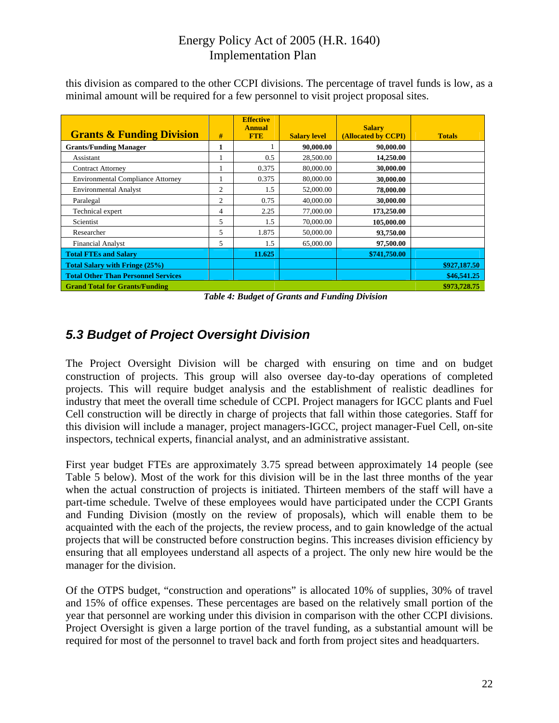| <b>Grants &amp; Funding Division</b>       | #              | <b>Effective</b><br><b>Annual</b><br><b>FTE</b> | <b>Salary level</b> | <b>Salary</b><br>(Allocated by CCPI) | <b>Totals</b> |
|--------------------------------------------|----------------|-------------------------------------------------|---------------------|--------------------------------------|---------------|
| <b>Grants/Funding Manager</b>              | л              |                                                 | 90,000.00           | 90,000.00                            |               |
| Assistant                                  |                | 0.5                                             | 28,500.00           | 14,250.00                            |               |
| <b>Contract Attorney</b>                   |                | 0.375                                           | 80,000.00           | 30,000.00                            |               |
| <b>Environmental Compliance Attorney</b>   |                | 0.375                                           | 80,000.00           | 30,000.00                            |               |
| <b>Environmental Analyst</b>               | $\overline{c}$ | 1.5                                             | 52,000.00           | 78,000.00                            |               |
| Paralegal                                  | $\overline{2}$ | 0.75                                            | 40,000.00           | 30,000.00                            |               |
| Technical expert                           | 4              | 2.25                                            | 77,000.00           | 173,250.00                           |               |
| Scientist                                  | 5              | 1.5                                             | 70,000.00           | 105,000.00                           |               |
| Researcher                                 | 5              | 1.875                                           | 50,000.00           | 93,750.00                            |               |
| <b>Financial Analyst</b>                   | 5              | 1.5                                             | 65,000.00           | 97,500.00                            |               |
| <b>Total FTEs and Salary</b>               |                | 11.625                                          |                     | \$741,750.00                         |               |
| <b>Total Salary with Fringe (25%)</b>      |                |                                                 |                     |                                      | \$927,187.50  |
| <b>Total Other Than Personnel Services</b> |                |                                                 |                     |                                      | \$46,541.25   |
| <b>Grand Total for Grants/Funding</b>      |                |                                                 |                     |                                      | \$973,728.75  |

<span id="page-24-0"></span>this division as compared to the other CCPI divisions. The percentage of travel funds is low, as a minimal amount will be required for a few personnel to visit project proposal sites.

*Table 4: Budget of Grants and Funding Division* 

## *5.3 Budget of Project Oversight Division*

The Project Oversight Division will be charged with ensuring on time and on budget construction of projects. This group will also oversee day-to-day operations of completed projects. This will require budget analysis and the establishment of realistic deadlines for industry that meet the overall time schedule of CCPI. Project managers for IGCC plants and Fuel Cell construction will be directly in charge of projects that fall within those categories. Staff for this division will include a manager, project managers-IGCC, project manager-Fuel Cell, on-site inspectors, technical experts, financial analyst, and an administrative assistant.

First year budget FTEs are approximately 3.75 spread between approximately 14 people (see Table 5 below). Most of the work for this division will be in the last three months of the year when the actual construction of projects is initiated. Thirteen members of the staff will have a part-time schedule. Twelve of these employees would have participated under the CCPI Grants and Funding Division (mostly on the review of proposals), which will enable them to be acquainted with the each of the projects, the review process, and to gain knowledge of the actual projects that will be constructed before construction begins. This increases division efficiency by ensuring that all employees understand all aspects of a project. The only new hire would be the manager for the division.

Of the OTPS budget, "construction and operations" is allocated 10% of supplies, 30% of travel and 15% of office expenses. These percentages are based on the relatively small portion of the year that personnel are working under this division in comparison with the other CCPI divisions. Project Oversight is given a large portion of the travel funding, as a substantial amount will be required for most of the personnel to travel back and forth from project sites and headquarters.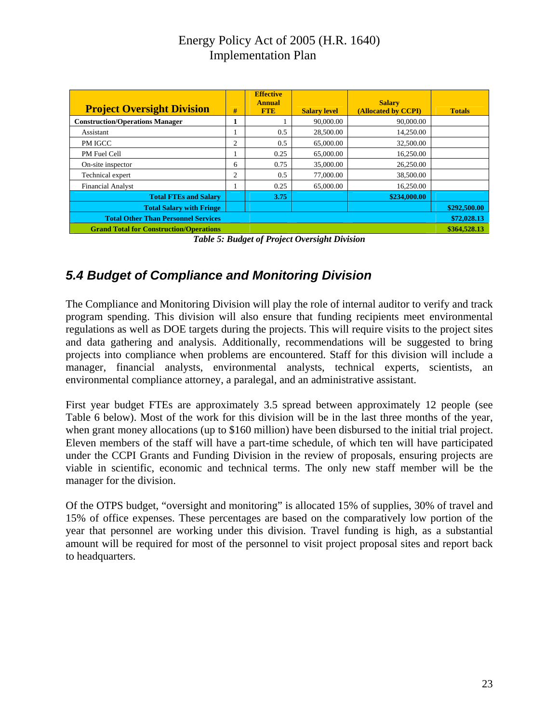<span id="page-25-0"></span>

| <b>Project Oversight Division</b>              |                             | <b>Effective</b><br><b>Annual</b> |                     | <b>Salary</b>       |               |
|------------------------------------------------|-----------------------------|-----------------------------------|---------------------|---------------------|---------------|
|                                                | #                           | <b>FTE</b>                        | <b>Salary level</b> | (Allocated by CCPI) | <b>Totals</b> |
| <b>Construction/Operations Manager</b>         |                             |                                   | 90,000.00           | 90,000.00           |               |
| <b>Assistant</b>                               |                             | 0.5                               | 28,500.00           | 14,250.00           |               |
| PM IGCC                                        | 2                           | 0.5                               | 65,000.00           | 32,500.00           |               |
| PM Fuel Cell                                   |                             | 0.25                              | 65,000.00           | 16,250.00           |               |
| On-site inspector                              | 6                           | 0.75                              | 35,000.00           | 26,250.00           |               |
| Technical expert                               | $\mathcal{D}_{\mathcal{L}}$ | 0.5                               | 77,000.00           | 38,500.00           |               |
| <b>Financial Analyst</b>                       |                             | 0.25                              | 65,000.00           | 16,250.00           |               |
| <b>Total FTEs and Salary</b>                   |                             | 3.75                              |                     | \$234,000.00        |               |
| <b>Total Salary with Fringe</b>                |                             |                                   |                     |                     | \$292,500.00  |
| <b>Total Other Than Personnel Services</b>     |                             |                                   |                     |                     | \$72,028.13   |
| <b>Grand Total for Construction/Operations</b> |                             |                                   |                     |                     | \$364,528.13  |

*Table 5: Budget of Project Oversight Division* 

## *5.4 Budget of Compliance and Monitoring Division*

The Compliance and Monitoring Division will play the role of internal auditor to verify and track program spending. This division will also ensure that funding recipients meet environmental regulations as well as DOE targets during the projects. This will require visits to the project sites and data gathering and analysis. Additionally, recommendations will be suggested to bring projects into compliance when problems are encountered. Staff for this division will include a manager, financial analysts, environmental analysts, technical experts, scientists, an environmental compliance attorney, a paralegal, and an administrative assistant.

First year budget FTEs are approximately 3.5 spread between approximately 12 people (see Table 6 below). Most of the work for this division will be in the last three months of the year, when grant money allocations (up to \$160 million) have been disbursed to the initial trial project. Eleven members of the staff will have a part-time schedule, of which ten will have participated under the CCPI Grants and Funding Division in the review of proposals, ensuring projects are viable in scientific, economic and technical terms. The only new staff member will be the manager for the division.

Of the OTPS budget, "oversight and monitoring" is allocated 15% of supplies, 30% of travel and 15% of office expenses. These percentages are based on the comparatively low portion of the year that personnel are working under this division. Travel funding is high, as a substantial amount will be required for most of the personnel to visit project proposal sites and report back to headquarters.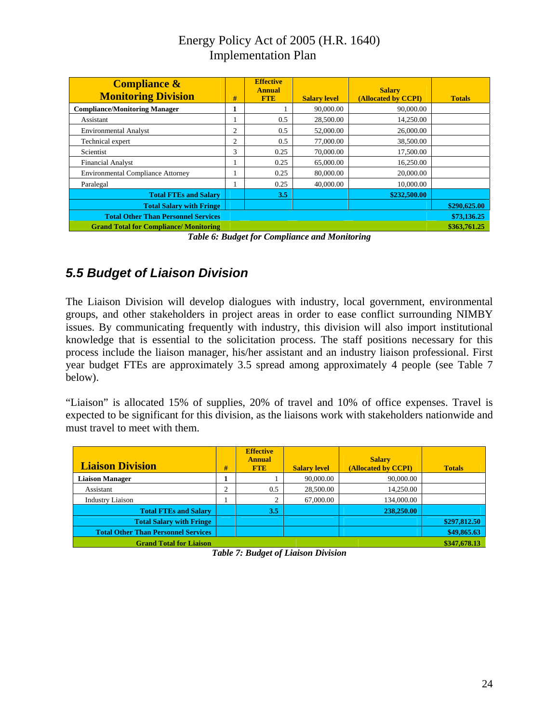<span id="page-26-0"></span>

| <b>Compliance &amp;</b><br><b>Monitoring Division</b> | #              | <b>Effective</b><br><b>Annual</b><br><b>FTE</b> | <b>Salary level</b> | <b>Salary</b><br>(Allocated by CCPI) | <b>Totals</b> |
|-------------------------------------------------------|----------------|-------------------------------------------------|---------------------|--------------------------------------|---------------|
| <b>Compliance/Monitoring Manager</b>                  | 1              |                                                 | 90,000.00           | 90,000.00                            |               |
| Assistant                                             |                | 0.5                                             | 28,500.00           | 14,250.00                            |               |
| <b>Environmental Analyst</b>                          | 2              | 0.5                                             | 52,000.00           | 26,000.00                            |               |
| Technical expert                                      | $\overline{c}$ | 0.5                                             | 77,000.00           | 38,500.00                            |               |
| Scientist                                             | 3              | 0.25                                            | 70,000.00           | 17,500.00                            |               |
| <b>Financial Analyst</b>                              |                | 0.25                                            | 65,000.00           | 16,250.00                            |               |
| <b>Environmental Compliance Attorney</b>              |                | 0.25                                            | 80,000.00           | 20,000.00                            |               |
| Paralegal                                             |                | 0.25                                            | 40,000.00           | 10,000.00                            |               |
| <b>Total FTEs and Salary</b>                          |                | 3.5                                             |                     | \$232,500.00                         |               |
| <b>Total Salary with Fringe</b>                       |                |                                                 |                     |                                      | \$290,625.00  |
| <b>Total Other Than Personnel Services</b>            |                |                                                 |                     |                                      | \$73,136.25   |
| <b>Grand Total for Compliance/Monitoring</b>          |                |                                                 |                     |                                      | \$363,761.25  |

*Table 6: Budget for Compliance and Monitoring* 

## *5.5 Budget of Liaison Division*

The Liaison Division will develop dialogues with industry, local government, environmental groups, and other stakeholders in project areas in order to ease conflict surrounding NIMBY issues. By communicating frequently with industry, this division will also import institutional knowledge that is essential to the solicitation process. The staff positions necessary for this process include the liaison manager, his/her assistant and an industry liaison professional. First year budget FTEs are approximately 3.5 spread among approximately 4 people (see Table 7 below).

"Liaison" is allocated 15% of supplies, 20% of travel and 10% of office expenses. Travel is expected to be significant for this division, as the liaisons work with stakeholders nationwide and must travel to meet with them.

| <b>Liaison Division</b>                    | #      | <b>Effective</b><br><b>Annual</b><br><b>FTE</b> | <b>Salary level</b> | <b>Salary</b><br>(Allocated by CCPI) | <b>Totals</b> |
|--------------------------------------------|--------|-------------------------------------------------|---------------------|--------------------------------------|---------------|
| <b>Liaison Manager</b>                     |        |                                                 | 90,000.00           | 90,000.00                            |               |
| Assistant                                  | ◠<br>∠ | 0.5                                             | 28,500.00           | 14,250.00                            |               |
| <b>Industry Liaison</b>                    |        |                                                 | 67,000.00           | 134,000.00                           |               |
| <b>Total FTEs and Salary</b>               |        | 3.5                                             |                     | 238,250.00                           |               |
| <b>Total Salary with Fringe</b>            |        |                                                 |                     |                                      | \$297,812.50  |
| <b>Total Other Than Personnel Services</b> |        |                                                 |                     |                                      | \$49,865.63   |
| <b>Grand Total for Liaison</b>             |        |                                                 |                     |                                      | \$347,678.13  |

*Table 7: Budget of Liaison Division*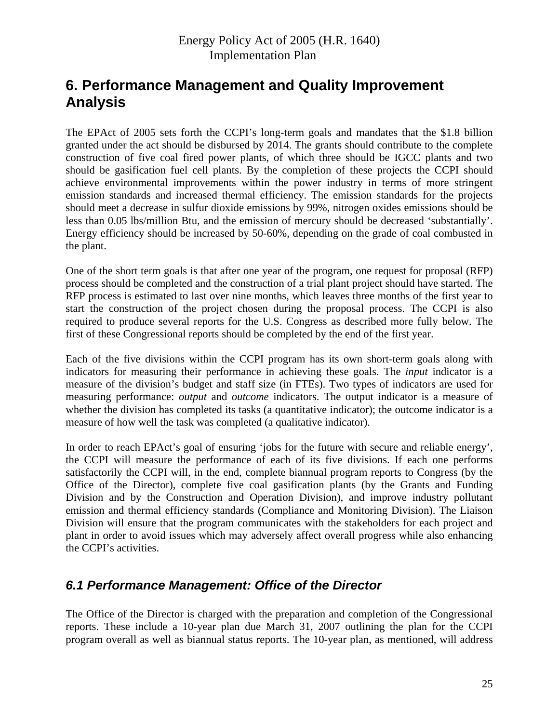# <span id="page-27-0"></span>**6. Performance Management and Quality Improvement Analysis**

The EPAct of 2005 sets forth the CCPI's long-term goals and mandates that the \$1.8 billion granted under the act should be disbursed by 2014. The grants should contribute to the complete construction of five coal fired power plants, of which three should be IGCC plants and two should be gasification fuel cell plants. By the completion of these projects the CCPI should achieve environmental improvements within the power industry in terms of more stringent emission standards and increased thermal efficiency. The emission standards for the projects should meet a decrease in sulfur dioxide emissions by 99%, nitrogen oxides emissions should be less than 0.05 lbs/million Btu, and the emission of mercury should be decreased 'substantially'. Energy efficiency should be increased by 50-60%, depending on the grade of coal combusted in the plant.

One of the short term goals is that after one year of the program, one request for proposal (RFP) process should be completed and the construction of a trial plant project should have started. The RFP process is estimated to last over nine months, which leaves three months of the first year to start the construction of the project chosen during the proposal process. The CCPI is also required to produce several reports for the U.S. Congress as described more fully below. The first of these Congressional reports should be completed by the end of the first year.

Each of the five divisions within the CCPI program has its own short-term goals along with indicators for measuring their performance in achieving these goals. The *input* indicator is a measure of the division's budget and staff size (in FTEs). Two types of indicators are used for measuring performance: *output* and *outcome* indicators. The output indicator is a measure of whether the division has completed its tasks (a quantitative indicator); the outcome indicator is a measure of how well the task was completed (a qualitative indicator).

In order to reach EPAct's goal of ensuring 'jobs for the future with secure and reliable energy', the CCPI will measure the performance of each of its five divisions. If each one performs satisfactorily the CCPI will, in the end, complete biannual program reports to Congress (by the Office of the Director), complete five coal gasification plants (by the Grants and Funding Division and by the Construction and Operation Division), and improve industry pollutant emission and thermal efficiency standards (Compliance and Monitoring Division). The Liaison Division will ensure that the program communicates with the stakeholders for each project and plant in order to avoid issues which may adversely affect overall progress while also enhancing the CCPI's activities.

## *6.1 Performance Management: Office of the Director*

The Office of the Director is charged with the preparation and completion of the Congressional reports. These include a 10-year plan due March 31, 2007 outlining the plan for the CCPI program overall as well as biannual status reports. The 10-year plan, as mentioned, will address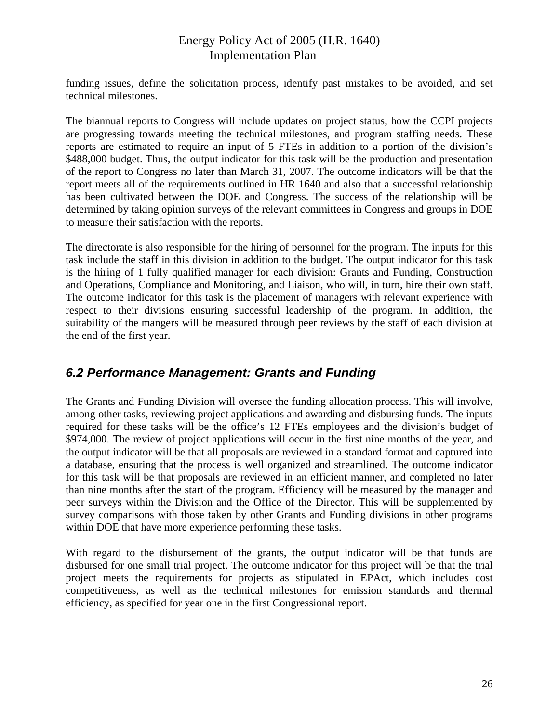<span id="page-28-0"></span>funding issues, define the solicitation process, identify past mistakes to be avoided, and set technical milestones.

The biannual reports to Congress will include updates on project status, how the CCPI projects are progressing towards meeting the technical milestones, and program staffing needs. These reports are estimated to require an input of 5 FTEs in addition to a portion of the division's \$488,000 budget. Thus, the output indicator for this task will be the production and presentation of the report to Congress no later than March 31, 2007. The outcome indicators will be that the report meets all of the requirements outlined in HR 1640 and also that a successful relationship has been cultivated between the DOE and Congress. The success of the relationship will be determined by taking opinion surveys of the relevant committees in Congress and groups in DOE to measure their satisfaction with the reports.

The directorate is also responsible for the hiring of personnel for the program. The inputs for this task include the staff in this division in addition to the budget. The output indicator for this task is the hiring of 1 fully qualified manager for each division: Grants and Funding, Construction and Operations, Compliance and Monitoring, and Liaison, who will, in turn, hire their own staff. The outcome indicator for this task is the placement of managers with relevant experience with respect to their divisions ensuring successful leadership of the program. In addition, the suitability of the mangers will be measured through peer reviews by the staff of each division at the end of the first year.

## *6.2 Performance Management: Grants and Funding*

The Grants and Funding Division will oversee the funding allocation process. This will involve, among other tasks, reviewing project applications and awarding and disbursing funds. The inputs required for these tasks will be the office's 12 FTEs employees and the division's budget of \$974,000. The review of project applications will occur in the first nine months of the year, and the output indicator will be that all proposals are reviewed in a standard format and captured into a database, ensuring that the process is well organized and streamlined. The outcome indicator for this task will be that proposals are reviewed in an efficient manner, and completed no later than nine months after the start of the program. Efficiency will be measured by the manager and peer surveys within the Division and the Office of the Director. This will be supplemented by survey comparisons with those taken by other Grants and Funding divisions in other programs within DOE that have more experience performing these tasks.

With regard to the disbursement of the grants, the output indicator will be that funds are disbursed for one small trial project. The outcome indicator for this project will be that the trial project meets the requirements for projects as stipulated in EPAct, which includes cost competitiveness, as well as the technical milestones for emission standards and thermal efficiency, as specified for year one in the first Congressional report.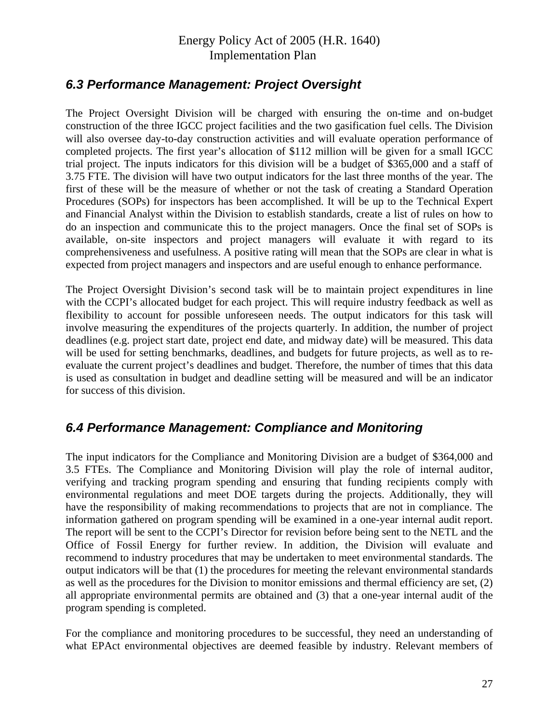## <span id="page-29-0"></span>*6.3 Performance Management: Project Oversight*

The Project Oversight Division will be charged with ensuring the on-time and on-budget construction of the three IGCC project facilities and the two gasification fuel cells. The Division will also oversee day-to-day construction activities and will evaluate operation performance of completed projects. The first year's allocation of \$112 million will be given for a small IGCC trial project. The inputs indicators for this division will be a budget of \$365,000 and a staff of 3.75 FTE. The division will have two output indicators for the last three months of the year. The first of these will be the measure of whether or not the task of creating a Standard Operation Procedures (SOPs) for inspectors has been accomplished. It will be up to the Technical Expert and Financial Analyst within the Division to establish standards, create a list of rules on how to do an inspection and communicate this to the project managers. Once the final set of SOPs is available, on-site inspectors and project managers will evaluate it with regard to its comprehensiveness and usefulness. A positive rating will mean that the SOPs are clear in what is expected from project managers and inspectors and are useful enough to enhance performance.

The Project Oversight Division's second task will be to maintain project expenditures in line with the CCPI's allocated budget for each project. This will require industry feedback as well as flexibility to account for possible unforeseen needs. The output indicators for this task will involve measuring the expenditures of the projects quarterly. In addition, the number of project deadlines (e.g. project start date, project end date, and midway date) will be measured. This data will be used for setting benchmarks, deadlines, and budgets for future projects, as well as to reevaluate the current project's deadlines and budget. Therefore, the number of times that this data is used as consultation in budget and deadline setting will be measured and will be an indicator for success of this division.

### *6.4 Performance Management: Compliance and Monitoring*

The input indicators for the Compliance and Monitoring Division are a budget of \$364,000 and 3.5 FTEs. The Compliance and Monitoring Division will play the role of internal auditor, verifying and tracking program spending and ensuring that funding recipients comply with environmental regulations and meet DOE targets during the projects. Additionally, they will have the responsibility of making recommendations to projects that are not in compliance. The information gathered on program spending will be examined in a one-year internal audit report. The report will be sent to the CCPI's Director for revision before being sent to the NETL and the Office of Fossil Energy for further review. In addition, the Division will evaluate and recommend to industry procedures that may be undertaken to meet environmental standards. The output indicators will be that (1) the procedures for meeting the relevant environmental standards as well as the procedures for the Division to monitor emissions and thermal efficiency are set, (2) all appropriate environmental permits are obtained and (3) that a one-year internal audit of the program spending is completed.

For the compliance and monitoring procedures to be successful, they need an understanding of what EPAct environmental objectives are deemed feasible by industry. Relevant members of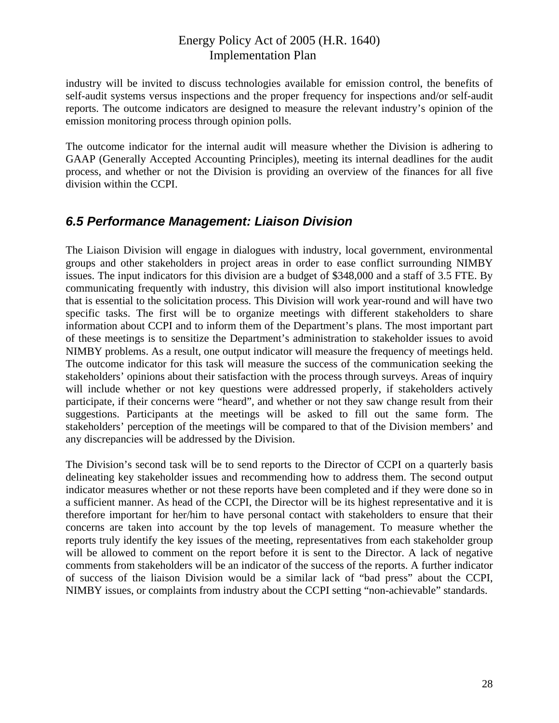<span id="page-30-0"></span>industry will be invited to discuss technologies available for emission control, the benefits of self-audit systems versus inspections and the proper frequency for inspections and/or self-audit reports. The outcome indicators are designed to measure the relevant industry's opinion of the emission monitoring process through opinion polls.

The outcome indicator for the internal audit will measure whether the Division is adhering to GAAP (Generally Accepted Accounting Principles), meeting its internal deadlines for the audit process, and whether or not the Division is providing an overview of the finances for all five division within the CCPI.

## *6.5 Performance Management: Liaison Division*

The Liaison Division will engage in dialogues with industry, local government, environmental groups and other stakeholders in project areas in order to ease conflict surrounding NIMBY issues. The input indicators for this division are a budget of \$348,000 and a staff of 3.5 FTE. By communicating frequently with industry, this division will also import institutional knowledge that is essential to the solicitation process. This Division will work year-round and will have two specific tasks. The first will be to organize meetings with different stakeholders to share information about CCPI and to inform them of the Department's plans. The most important part of these meetings is to sensitize the Department's administration to stakeholder issues to avoid NIMBY problems. As a result, one output indicator will measure the frequency of meetings held. The outcome indicator for this task will measure the success of the communication seeking the stakeholders' opinions about their satisfaction with the process through surveys. Areas of inquiry will include whether or not key questions were addressed properly, if stakeholders actively participate, if their concerns were "heard", and whether or not they saw change result from their suggestions. Participants at the meetings will be asked to fill out the same form. The stakeholders' perception of the meetings will be compared to that of the Division members' and any discrepancies will be addressed by the Division.

The Division's second task will be to send reports to the Director of CCPI on a quarterly basis delineating key stakeholder issues and recommending how to address them. The second output indicator measures whether or not these reports have been completed and if they were done so in a sufficient manner. As head of the CCPI, the Director will be its highest representative and it is therefore important for her/him to have personal contact with stakeholders to ensure that their concerns are taken into account by the top levels of management. To measure whether the reports truly identify the key issues of the meeting, representatives from each stakeholder group will be allowed to comment on the report before it is sent to the Director. A lack of negative comments from stakeholders will be an indicator of the success of the reports. A further indicator of success of the liaison Division would be a similar lack of "bad press" about the CCPI, NIMBY issues, or complaints from industry about the CCPI setting "non-achievable" standards.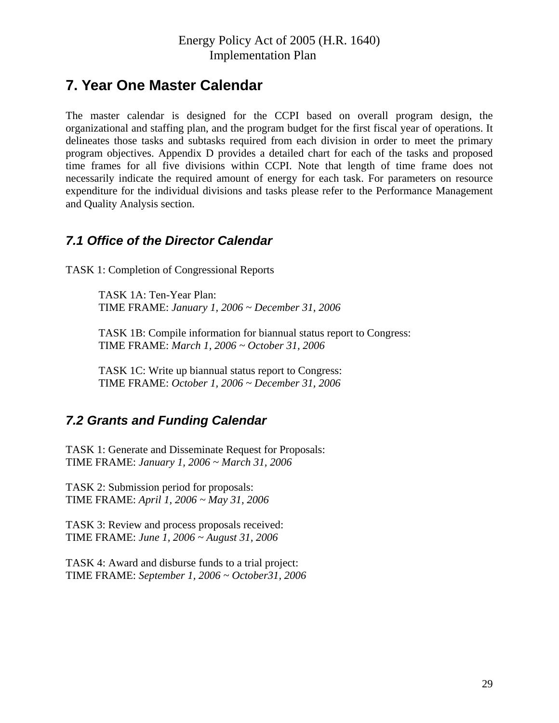## <span id="page-31-0"></span>**7. Year One Master Calendar**

The master calendar is designed for the CCPI based on overall program design, the organizational and staffing plan, and the program budget for the first fiscal year of operations. It delineates those tasks and subtasks required from each division in order to meet the primary program objectives. Appendix D provides a detailed chart for each of the tasks and proposed time frames for all five divisions within CCPI. Note that length of time frame does not necessarily indicate the required amount of energy for each task. For parameters on resource expenditure for the individual divisions and tasks please refer to the Performance Management and Quality Analysis section.

## *7.1 Office of the Director Calendar*

TASK 1: Completion of Congressional Reports

TASK 1A: Ten-Year Plan: TIME FRAME: *January 1, 2006 ~ December 31, 2006* 

TASK 1B: Compile information for biannual status report to Congress: TIME FRAME: *March 1, 2006 ~ October 31, 2006* 

TASK 1C: Write up biannual status report to Congress: TIME FRAME: *October 1, 2006 ~ December 31, 2006* 

## *7.2 Grants and Funding Calendar*

TASK 1: Generate and Disseminate Request for Proposals: TIME FRAME: *January 1, 2006 ~ March 31, 2006* 

TASK 2: Submission period for proposals: TIME FRAME: *April 1, 2006 ~ May 31, 2006* 

TASK 3: Review and process proposals received: TIME FRAME: *June 1, 2006 ~ August 31, 2006* 

TASK 4: Award and disburse funds to a trial project: TIME FRAME: *September 1, 2006 ~ October31, 2006*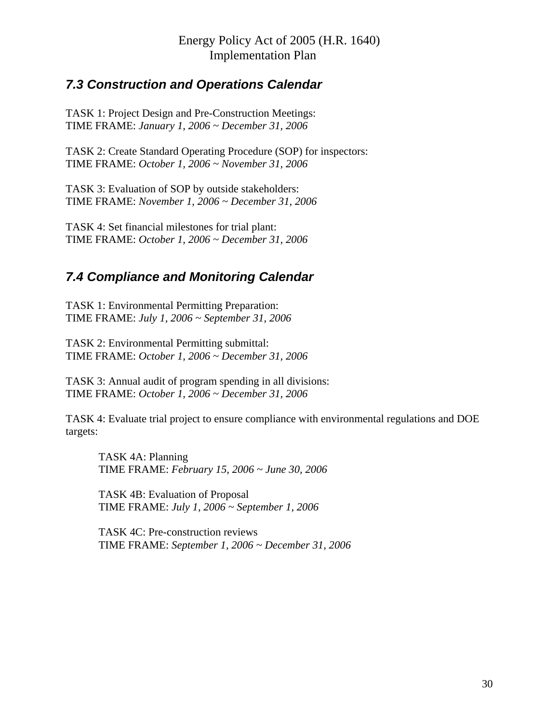## <span id="page-32-0"></span>*7.3 Construction and Operations Calendar*

TASK 1: Project Design and Pre-Construction Meetings: TIME FRAME: *January 1, 2006 ~ December 31, 2006* 

TASK 2: Create Standard Operating Procedure (SOP) for inspectors: TIME FRAME: *October 1, 2006 ~ November 31, 2006* 

TASK 3: Evaluation of SOP by outside stakeholders: TIME FRAME: *November 1, 2006 ~ December 31, 2006* 

TASK 4: Set financial milestones for trial plant: TIME FRAME: *October 1, 2006 ~ December 31, 2006* 

## *7.4 Compliance and Monitoring Calendar*

TASK 1: Environmental Permitting Preparation: TIME FRAME: *July 1, 2006 ~ September 31, 2006* 

TASK 2: Environmental Permitting submittal: TIME FRAME: *October 1, 2006 ~ December 31, 2006* 

TASK 3: Annual audit of program spending in all divisions: TIME FRAME: *October 1, 2006 ~ December 31, 2006* 

TASK 4: Evaluate trial project to ensure compliance with environmental regulations and DOE targets:

TASK 4A: Planning TIME FRAME: *February 15, 2006 ~ June 30, 2006*

TASK 4B: Evaluation of Proposal TIME FRAME: *July 1, 2006 ~ September 1, 2006*

TASK 4C: Pre-construction reviews TIME FRAME: *September 1, 2006 ~ December 31, 2006*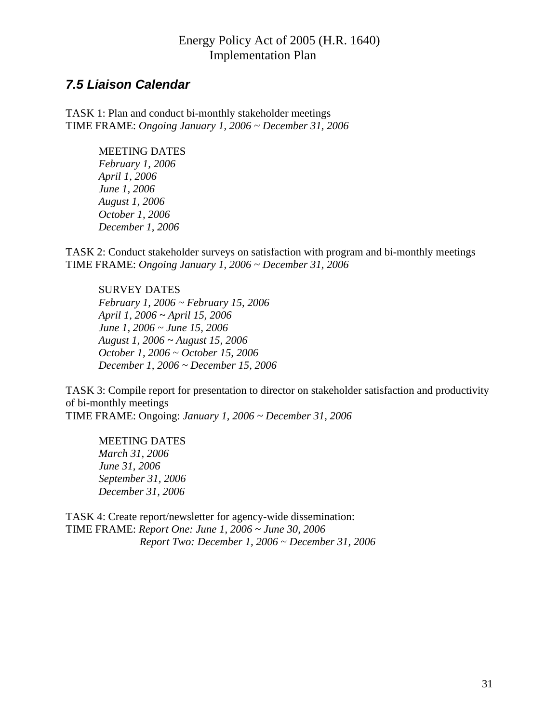### <span id="page-33-0"></span>*7.5 Liaison Calendar*

TASK 1: Plan and conduct bi-monthly stakeholder meetings TIME FRAME: *Ongoing January 1, 2006 ~ December 31, 2006* 

> MEETING DATES *February 1, 2006 April 1, 2006 June 1, 2006 August 1, 2006 October 1, 2006 December 1, 2006*

TASK 2: Conduct stakeholder surveys on satisfaction with program and bi-monthly meetings TIME FRAME: *Ongoing January 1, 2006 ~ December 31, 2006* 

#### SURVEY DATES

*February 1, 2006 ~ February 15, 2006 April 1, 2006 ~ April 15, 2006 June 1, 2006 ~ June 15, 2006 August 1, 2006 ~ August 15, 2006 October 1, 2006 ~ October 15, 2006 December 1, 2006 ~ December 15, 2006* 

TASK 3: Compile report for presentation to director on stakeholder satisfaction and productivity of bi-monthly meetings TIME FRAME: Ongoing: *January 1, 2006 ~ December 31, 2006* 

MEETING DATES *March 31, 2006 June 31, 2006 September 31, 2006 December 31, 2006* 

TASK 4: Create report/newsletter for agency-wide dissemination: TIME FRAME: *Report One: June 1, 2006 ~ June 30, 2006 Report Two: December 1, 2006 ~ December 31, 2006*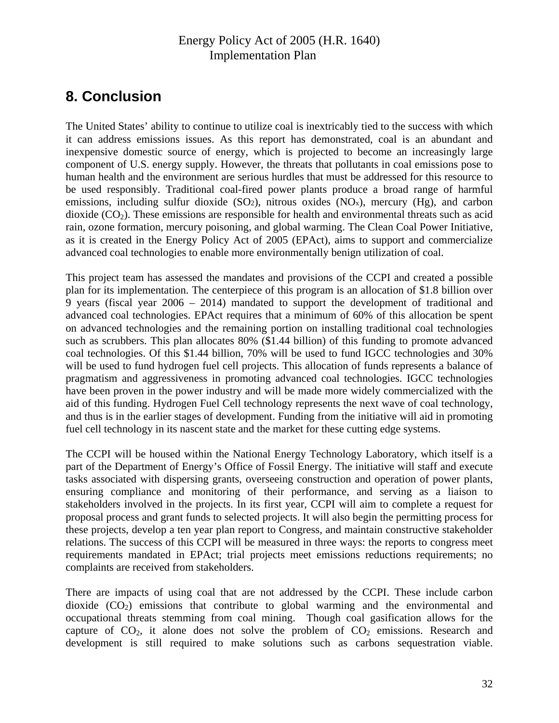# <span id="page-34-0"></span>**8. Conclusion**

The United States' ability to continue to utilize coal is inextricably tied to the success with which it can address emissions issues. As this report has demonstrated, coal is an abundant and inexpensive domestic source of energy, which is projected to become an increasingly large component of U.S. energy supply. However, the threats that pollutants in coal emissions pose to human health and the environment are serious hurdles that must be addressed for this resource to be used responsibly. Traditional coal-fired power plants produce a broad range of harmful emissions, including sulfur dioxide  $(SO<sub>2</sub>)$ , nitrous oxides  $(NO<sub>x</sub>)$ , mercury  $(Hg)$ , and carbon dioxide  $(CO<sub>2</sub>)$ . These emissions are responsible for health and environmental threats such as acid rain, ozone formation, mercury poisoning, and global warming. The Clean Coal Power Initiative, as it is created in the Energy Policy Act of 2005 (EPAct), aims to support and commercialize advanced coal technologies to enable more environmentally benign utilization of coal.

This project team has assessed the mandates and provisions of the CCPI and created a possible plan for its implementation. The centerpiece of this program is an allocation of \$1.8 billion over 9 years (fiscal year 2006 – 2014) mandated to support the development of traditional and advanced coal technologies. EPAct requires that a minimum of 60% of this allocation be spent on advanced technologies and the remaining portion on installing traditional coal technologies such as scrubbers. This plan allocates 80% (\$1.44 billion) of this funding to promote advanced coal technologies. Of this \$1.44 billion, 70% will be used to fund IGCC technologies and 30% will be used to fund hydrogen fuel cell projects. This allocation of funds represents a balance of pragmatism and aggressiveness in promoting advanced coal technologies. IGCC technologies have been proven in the power industry and will be made more widely commercialized with the aid of this funding. Hydrogen Fuel Cell technology represents the next wave of coal technology, and thus is in the earlier stages of development. Funding from the initiative will aid in promoting fuel cell technology in its nascent state and the market for these cutting edge systems.

The CCPI will be housed within the National Energy Technology Laboratory, which itself is a part of the Department of Energy's Office of Fossil Energy. The initiative will staff and execute tasks associated with dispersing grants, overseeing construction and operation of power plants, ensuring compliance and monitoring of their performance, and serving as a liaison to stakeholders involved in the projects. In its first year, CCPI will aim to complete a request for proposal process and grant funds to selected projects. It will also begin the permitting process for these projects, develop a ten year plan report to Congress, and maintain constructive stakeholder relations. The success of this CCPI will be measured in three ways: the reports to congress meet requirements mandated in EPAct; trial projects meet emissions reductions requirements; no complaints are received from stakeholders.

There are impacts of using coal that are not addressed by the CCPI. These include carbon dioxide  $(CO_2)$  emissions that contribute to global warming and the environmental and occupational threats stemming from coal mining. Though coal gasification allows for the capture of  $CO<sub>2</sub>$ , it alone does not solve the problem of  $CO<sub>2</sub>$  emissions. Research and development is still required to make solutions such as carbons sequestration viable.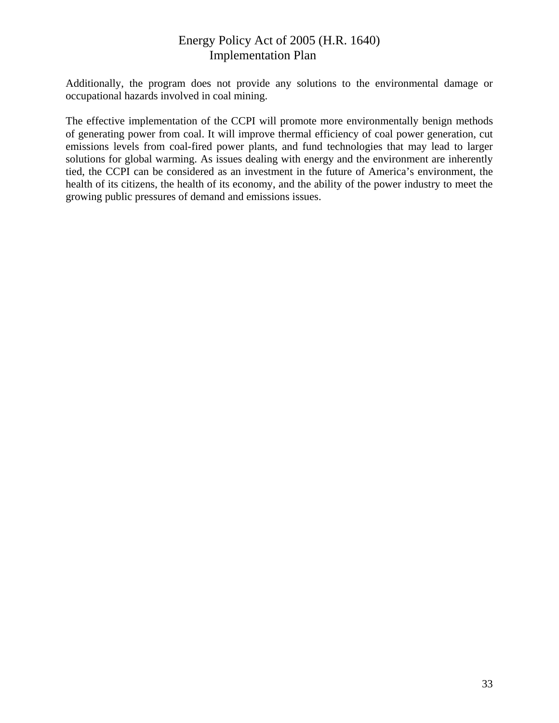Additionally, the program does not provide any solutions to the environmental damage or occupational hazards involved in coal mining.

The effective implementation of the CCPI will promote more environmentally benign methods of generating power from coal. It will improve thermal efficiency of coal power generation, cut emissions levels from coal-fired power plants, and fund technologies that may lead to larger solutions for global warming. As issues dealing with energy and the environment are inherently tied, the CCPI can be considered as an investment in the future of America's environment, the health of its citizens, the health of its economy, and the ability of the power industry to meet the growing public pressures of demand and emissions issues.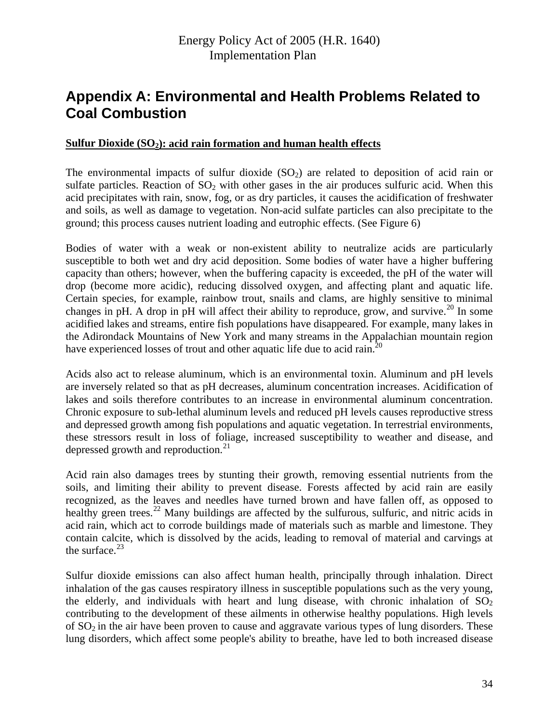# <span id="page-36-0"></span>**Appendix A: Environmental and Health Problems Related to Coal Combustion**

#### Sulfur Dioxide (SO<sub>2</sub>): acid rain formation and human health effects

The environmental impacts of sulfur dioxide  $(SO<sub>2</sub>)$  are related to deposition of acid rain or sulfate particles. Reaction of  $SO_2$  with other gases in the air produces sulfuric acid. When this acid precipitates with rain, snow, fog, or as dry particles, it causes the acidification of freshwater and soils, as well as damage to vegetation. Non-acid sulfate particles can also precipitate to the ground; this process causes nutrient loading and eutrophic effects. (See Figure 6)

Bodies of water with a weak or non-existent ability to neutralize acids are particularly susceptible to both wet and dry acid deposition. Some bodies of water have a higher buffering capacity than others; however, when the buffering capacity is exceeded, the pH of the water will drop (become more acidic), reducing dissolved oxygen, and affecting plant and aquatic life. Certain species, for example, rainbow trout, snails and clams, are highly sensitive to minimal changes in pH. A drop in pH will affect their ability to reproduce, grow, and survive.<sup>[2](#page-51-1)0</sup> In some acidified lakes and streams, entire fish populations have disappeared. For example, many lakes in the Adirondack Mountains of New York and many streams in the Appalachian mountain region have experienced losses of trout and other aquatic life due to acid rain.<sup>20</sup>

Acids also act to release aluminum, which is an environmental toxin. Aluminum and pH levels are inversely related so that as pH decreases, aluminum concentration increases. Acidification of lakes and soils therefore contributes to an increase in environmental aluminum concentration. Chronic exposure to sub-lethal aluminum levels and reduced pH levels causes reproductive stress and depressed growth among fish populations and aquatic vegetation. In terrestrial environments, these stressors result in loss of foliage, increased susceptibility to weather and disease, and depressed growth and reproduction. $^{21}$  $^{21}$  $^{21}$ 

Acid rain also damages trees by stunting their growth, removing essential nutrients from the soils, and limiting their ability to prevent disease. Forests affected by acid rain are easily recognized, as the leaves and needles have turned brown and have fallen off, as opposed to healthy green trees.<sup>[2](#page-51-1)2</sup> Many buildings are affected by the sulfurous, sulfuric, and nitric acids in acid rain, which act to corrode buildings made of materials such as marble and limestone. They contain calcite, which is dissolved by the acids, leading to removal of material and carvings at the surface. $^{23}$  $^{23}$  $^{23}$ 

Sulfur dioxide emissions can also affect human health, principally through inhalation. Direct inhalation of the gas causes respiratory illness in susceptible populations such as the very young, the elderly, and individuals with heart and lung disease, with chronic inhalation of  $SO<sub>2</sub>$ contributing to the development of these ailments in otherwise healthy populations. High levels of  $SO<sub>2</sub>$  in the air have been proven to cause and aggravate various types of lung disorders. These lung disorders, which affect some people's ability to breathe, have led to both increased disease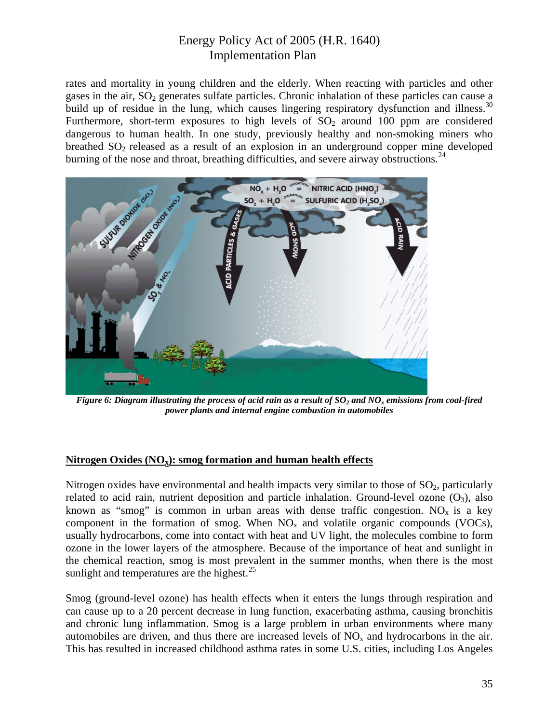rates and mortality in young children and the elderly. When reacting with particles and other gases in the air,  $SO<sub>2</sub>$  generates sulfate particles. Chronic inhalation of these particles can cause a build up of residue in the lung, which causes lingering respiratory dysfunction and illness.<sup>30</sup> Furthermore, short-term exposures to high levels of  $SO<sub>2</sub>$  around 100 ppm are considered dangerous to human health. In one study, previously healthy and non-smoking miners who breathed  $SO<sub>2</sub>$  released as a result of an explosion in an underground copper mine developed burning of the nose and throat, breathing difficulties, and severe airway obstructions.<sup>[2](#page-51-1)4</sup>



*Figure 6: Diagram illustrating the process of acid rain as a result of*  $SO<sub>2</sub>$  *and NO<sub>x</sub> emissions from coal-fired power plants and internal engine combustion in automobiles* 

#### **Nitrogen Oxides (NOx): smog formation and human health effects**

Nitrogen oxides have environmental and health impacts very similar to those of  $SO_2$ , particularly related to acid rain, nutrient deposition and particle inhalation. Ground-level ozone  $(O_3)$ , also known as "smog" is common in urban areas with dense traffic congestion. NO<sub>x</sub> is a key component in the formation of smog. When  $NO<sub>x</sub>$  and volatile organic compounds (VOCs), usually hydrocarbons, come into contact with heat and UV light, the molecules combine to form ozone in the lower layers of the atmosphere. Because of the importance of heat and sunlight in the chemical reaction, smog is most prevalent in the summer months, when there is the most sunlight and temperatures are the highest. $^{25}$  $^{25}$  $^{25}$ 

Smog (ground-level ozone) has health effects when it enters the lungs through respiration and can cause up to a 20 percent decrease in lung function, exacerbating asthma, causing bronchitis and chronic lung inflammation. Smog is a large problem in urban environments where many automobiles are driven, and thus there are increased levels of  $NO<sub>x</sub>$  and hydrocarbons in the air. This has resulted in increased childhood asthma rates in some U.S. cities, including Los Angeles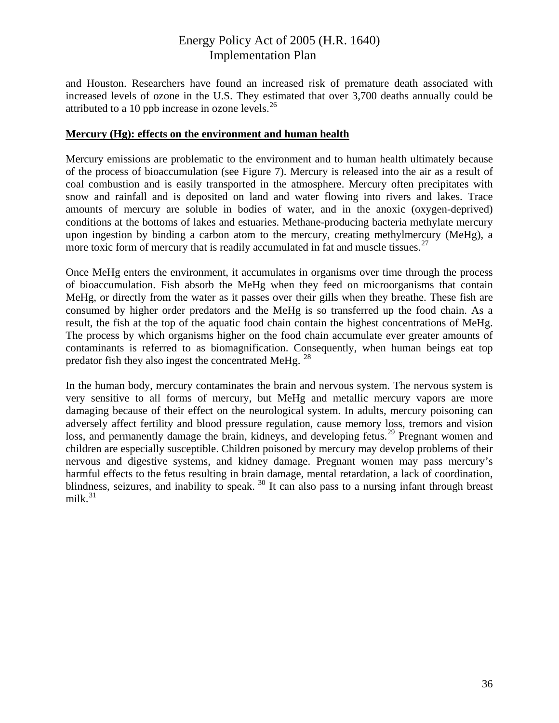and Houston. Researchers have found an increased risk of premature death associated with increased levels of ozone in the U.S. They estimated that over 3,700 deaths annually could be attributed to a 10 ppb increase in ozone levels. $^{26}$  $^{26}$  $^{26}$ 

#### **Mercury (Hg): effects on the environment and human health**

Mercury emissions are problematic to the environment and to human health ultimately because of the process of bioaccumulation (see Figure 7). Mercury is released into the air as a result of coal combustion and is easily transported in the atmosphere. Mercury often precipitates with snow and rainfall and is deposited on land and water flowing into rivers and lakes. Trace amounts of mercury are soluble in bodies of water, and in the anoxic (oxygen-deprived) conditions at the bottoms of lakes and estuaries. Methane-producing bacteria methylate mercury upon ingestion by binding a carbon atom to the mercury, creating methylmercury (MeHg), a more toxic form of mercury that is readily accumulated in fat and muscle tissues. $^{27}$  $^{27}$  $^{27}$ 

Once MeHg enters the environment, it accumulates in organisms over time through the process of bioaccumulation. Fish absorb the MeHg when they feed on microorganisms that contain MeHg, or directly from the water as it passes over their gills when they breathe. These fish are consumed by higher order predators and the MeHg is so transferred up the food chain. As a result, the fish at the top of the aquatic food chain contain the highest concentrations of MeHg. The process by which organisms higher on the food chain accumulate ever greater amounts of contaminants is referred to as biomagnification. Consequently, when human beings eat top predator fish they also ingest the concentrated MeHg.  $^{28}$  $^{28}$  $^{28}$ 

In the human body, mercury contaminates the brain and nervous system. The nervous system is very sensitive to all forms of mercury, but MeHg and metallic mercury vapors are more damaging because of their effect on the neurological system. In adults, mercury poisoning can adversely affect fertility and blood pressure regulation, cause memory loss, tremors and vision loss, and permanently damage the brain, kidneys, and developing fetus.<sup>[29](#page-51-1)</sup> Pregnant women and children are especially susceptible. Children poisoned by mercury may develop problems of their nervous and digestive systems, and kidney damage. Pregnant women may pass mercury's harmful effects to the fetus resulting in brain damage, mental retardation, a lack of coordination, blindness, seizures, and inability to speak.<sup>[30](#page-51-1)</sup> It can also pass to a nursing infant through breast milk. $31$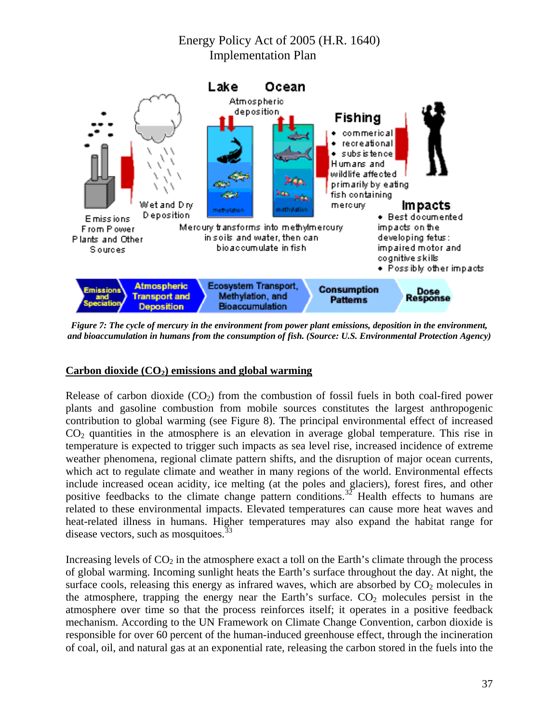

*Figure 7: The cycle of mercury in the environment from power plant emissions, deposition in the environment, and bioaccumulation in humans from the consumption of fish. (Source: U.S. Environmental Protection Agency)* 

#### Carbon dioxide (CO<sub>2</sub>) emissions and global warming

Release of carbon dioxide  $(CO_2)$  from the combustion of fossil fuels in both coal-fired power plants and gasoline combustion from mobile sources constitutes the largest anthropogenic contribution to global warming (see Figure 8). The principal environmental effect of increased CO<sub>2</sub> quantities in the atmosphere is an elevation in average global temperature. This rise in temperature is expected to trigger such impacts as sea level rise, increased incidence of extreme weather phenomena, regional climate pattern shifts, and the disruption of major ocean currents, which act to regulate climate and weather in many regions of the world. Environmental effects include increased ocean acidity, ice melting (at the poles and glaciers), forest fires, and other positive feedbacks to the climate change pattern conditions.<sup>[3](#page-51-1)2</sup> Health effects to humans are related to these environmental impacts. Elevated temperatures can cause more heat waves and heat-related illness in humans. Higher temperatures may also expand the habitat range for disease vectors, such as mosquitoes.<sup>[33](#page-51-1)</sup>

Increasing levels of  $CO<sub>2</sub>$  in the atmosphere exact a toll on the Earth's climate through the process of global warming. Incoming sunlight heats the Earth's surface throughout the day. At night, the surface cools, releasing this energy as infrared waves, which are absorbed by  $CO<sub>2</sub>$  molecules in the atmosphere, trapping the energy near the Earth's surface.  $CO<sub>2</sub>$  molecules persist in the atmosphere over time so that the process reinforces itself; it operates in a positive feedback mechanism. According to the UN Framework on Climate Change Convention, carbon dioxide is responsible for over 60 percent of the human-induced greenhouse effect, through the incineration of coal, oil, and natural gas at an exponential rate, releasing the carbon stored in the fuels into the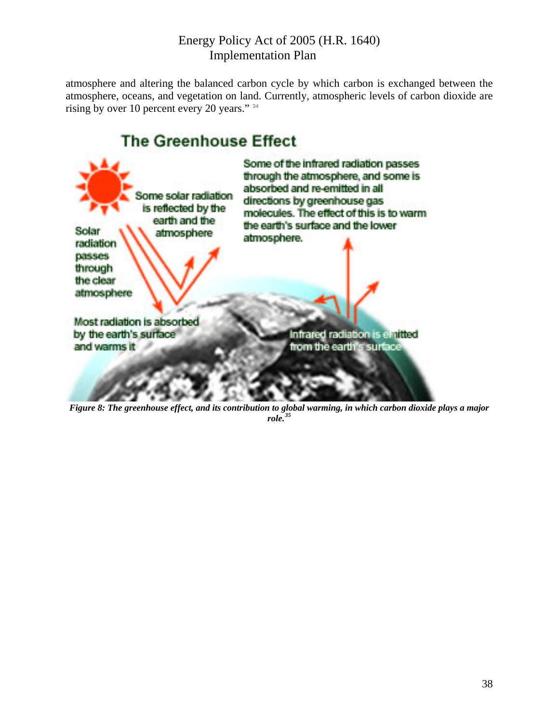atmosphere and altering the balanced carbon cycle by which carbon is exchanged between the atmosphere, oceans, and vegetation on land. Currently, atmospheric levels of carbon dioxide are rising by over 10 percent every 20 years." [3](#page-51-1)4



*Figure 8: The greenhouse effect, and its contribution to global warming, in which carbon dioxide plays a major role.[35](#page-51-1)*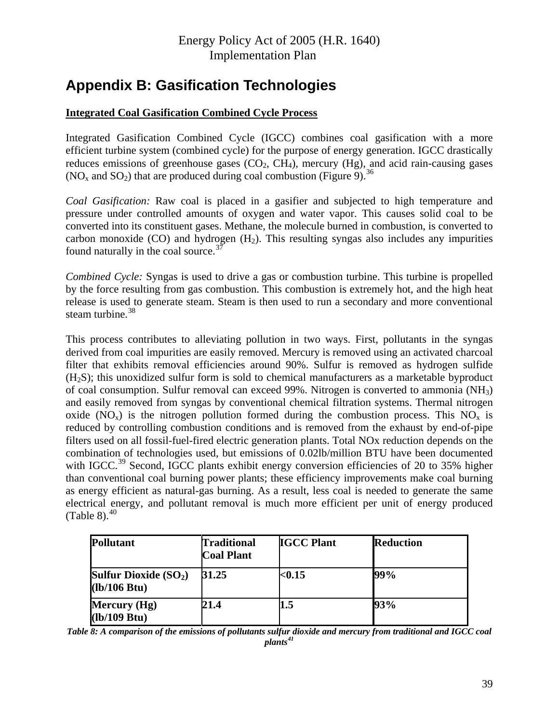# <span id="page-41-0"></span>**Appendix B: Gasification Technologies**

### **Integrated Coal Gasification Combined Cycle Process**

Integrated Gasification Combined Cycle (IGCC) combines coal gasification with a more efficient turbine system (combined cycle) for the purpose of energy generation. IGCC drastically reduces emissions of greenhouse gases  $(CO_2, CH_4)$ , mercury  $(Hg)$ , and acid rain-causing gases (NO<sub>x</sub> and SO<sub>2</sub>) that are produced during coal combustion (Figure 9).<sup>[3](#page-51-1)6</sup>

*Coal Gasification:* Raw coal is placed in a gasifier and subjected to high temperature and pressure under controlled amounts of oxygen and water vapor. This causes solid coal to be converted into its constituent gases. Methane, the molecule burned in combustion, is converted to carbon monoxide (CO) and hydrogen  $(H_2)$ . This resulting syngas also includes any impurities found naturally in the coal source. $37$  $37$ 

*Combined Cycle:* Syngas is used to drive a gas or combustion turbine. This turbine is propelled by the force resulting from gas combustion. This combustion is extremely hot, and the high heat release is used to generate steam. Steam is then used to run a secondary and more conventional steam turbine. $38$  $38$ 

This process contributes to alleviating pollution in two ways. First, pollutants in the syngas derived from coal impurities are easily removed. Mercury is removed using an activated charcoal filter that exhibits removal efficiencies around 90%. Sulfur is removed as hydrogen sulfide  $(H<sub>2</sub>S)$ ; this unoxidized sulfur form is sold to chemical manufacturers as a marketable byproduct of coal consumption. Sulfur removal can exceed 99%. Nitrogen is converted to ammonia (NH3) and easily removed from syngas by conventional chemical filtration systems. Thermal nitrogen oxide ( $NO<sub>x</sub>$ ) is the nitrogen pollution formed during the combustion process. This  $NO<sub>x</sub>$  is reduced by controlling combustion conditions and is removed from the exhaust by end-of-pipe filters used on all fossil-fuel-fired electric generation plants. Total NOx reduction depends on the combination of technologies used, but emissions of 0.02lb/million BTU have been documented with IGCC.<sup>[39](#page-51-1)</sup> Second, IGCC plants exhibit energy conversion efficiencies of 20 to 35% higher than conventional coal burning power plants; these efficiency improvements make coal burning as energy efficient as natural-gas burning. As a result, less coal is needed to generate the same electrical energy, and pollutant removal is much more efficient per unit of energy produced (Table 8). $40$ 

| <b>Pollutant</b>                        | <b>Traditional</b><br><b>Coal Plant</b> | <b>IGCC Plant</b> | <b>Reduction</b> |
|-----------------------------------------|-----------------------------------------|-------------------|------------------|
| Sulfur Dioxide $(SO_2)$<br>(lb/106 Btu) | 31.25                                   | $0.15$            | 99%              |
| Mercury (Hg)<br>(lb/109 Btu)            | 21.4                                    | 1.5               | 93%              |

*Table 8: A comparison of the emissions of pollutants sulfur dioxide and mercury from traditional and IGCC coal plants[41](#page-51-1)*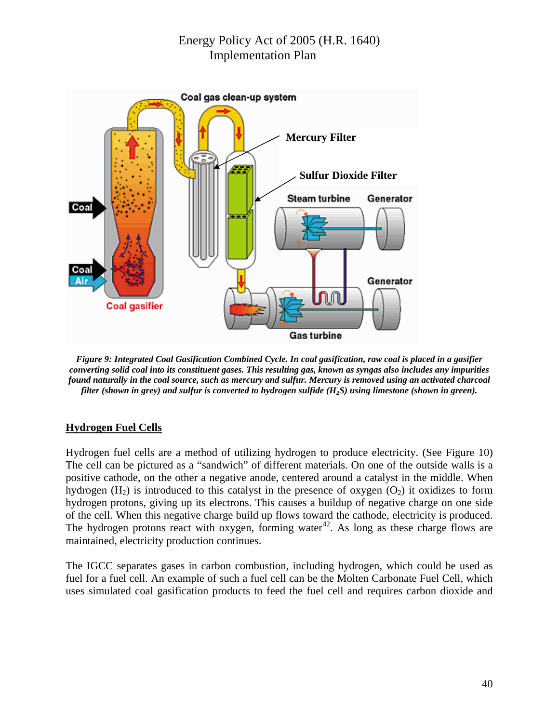

*Figure 9: Integrated Coal Gasification Combined Cycle. In coal gasification, raw coal is placed in a gasifier converting solid coal into its constituent gases. This resulting gas, known as syngas also includes any impurities found naturally in the coal source, such as mercury and sulfur. Mercury is removed using an activated charcoal filter (shown in grey) and sulfur is converted to hydrogen sulfide (H2S) using limestone (shown in green).* 

#### **Hydrogen Fuel Cells**

Hydrogen fuel cells are a method of utilizing hydrogen to produce electricity. (See Figure 10) The cell can be pictured as a "sandwich" of different materials. On one of the outside walls is a positive cathode, on the other a negative anode, centered around a catalyst in the middle. When hydrogen  $(H_2)$  is introduced to this catalyst in the presence of oxygen  $(O_2)$  it oxidizes to form hydrogen protons, giving up its electrons. This causes a buildup of negative charge on one side of the cell. When this negative charge build up flows toward the cathode, electricity is produced. The hydrogen protons react with oxygen, forming water<sup>[42](#page-51-1)</sup>. As long as these charge flows are maintained, electricity production continues.

The IGCC separates gases in carbon combustion, including hydrogen, which could be used as fuel for a fuel cell. An example of such a fuel cell can be the Molten Carbonate Fuel Cell, which uses simulated coal gasification products to feed the fuel cell and requires carbon dioxide and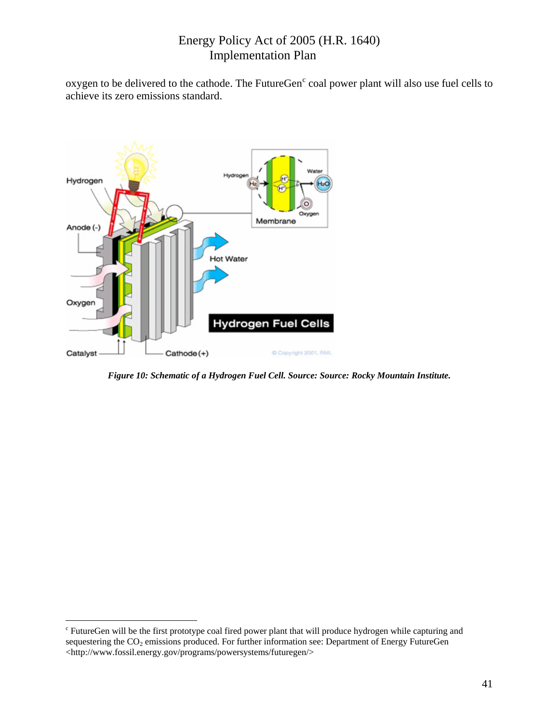<span id="page-43-0"></span>oxygen to be delivered to the [c](#page-43-0)athode. The FutureGen $^{\circ}$  coal power plant will also use fuel cells to achieve its zero emissions standard.



*Figure 10: Schematic of a Hydrogen Fuel Cell. Source: Source: Rocky Mountain Institute.* 

 $\overline{a}$ 

<sup>&</sup>lt;sup>c</sup> FutureGen will be the first prototype coal fired power plant that will produce hydrogen while capturing and sequestering the CO<sub>2</sub> emissions produced. For further information see: Department of Energy FutureGen <http://www.fossil.energy.gov/programs/powersystems/futuregen/>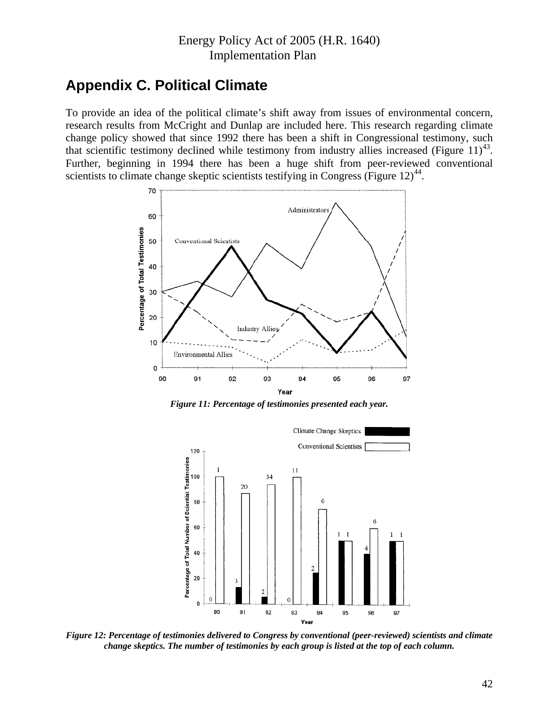## <span id="page-44-0"></span>**Appendix C. Political Climate**

To provide an idea of the political climate's shift away from issues of environmental concern, research results from McCright and Dunlap are included here. This research regarding climate change policy showed that since 1992 there has been a shift in Congressional testimony, such that scientific testimony declined while testimony from industry allies increased (Figure  $11<sup>43</sup>$  $11<sup>43</sup>$  $11<sup>43</sup>$ . Further, beginning in 1994 there has been a huge shift from peer-reviewed conventional scientists to climate change skeptic scientists testifying in Congress (Figure  $12<sup>44</sup>$  $12<sup>44</sup>$  $12<sup>44</sup>$ .



*Figure 11: Percentage of testimonies presented each year.* 



*Figure 12: Percentage of testimonies delivered to Congress by conventional (peer-reviewed) scientists and climate change skeptics. The number of testimonies by each group is listed at the top of each column.*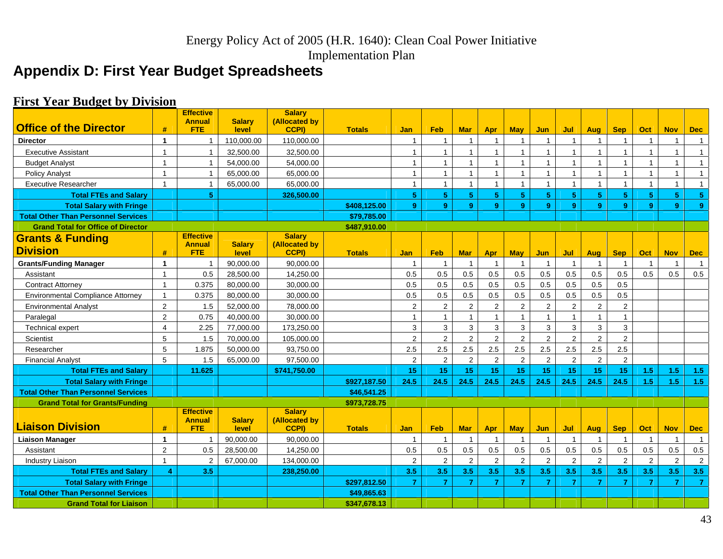Implementation Plan

# **Appendix D: First Year Budget Spreadsheets**

## **First Year Budget by Division**

<span id="page-45-0"></span>

| <b>Office of the Director</b>              |                | <b>Effective</b><br><b>Annual</b> | <b>Salarv</b> | <b>Salary</b><br>(Allocated by |               |                |                         |                |                         |                |                |                |                |                |                |                |                |
|--------------------------------------------|----------------|-----------------------------------|---------------|--------------------------------|---------------|----------------|-------------------------|----------------|-------------------------|----------------|----------------|----------------|----------------|----------------|----------------|----------------|----------------|
|                                            | #              | <b>FTE</b>                        | level         | CCPI)                          | <b>Totals</b> | Jan            | <b>Feb</b>              | <b>Mar</b>     | Apr                     | <b>May</b>     | Jun            | Jul            | Aug            | <b>Sep</b>     | Oct            | <b>Nov</b>     | <b>Dec</b>     |
| <b>Director</b>                            | $\mathbf{1}$   | $\mathbf{1}$                      | 110,000.00    | 110,000.00                     |               | $\mathbf{1}$   | $\overline{1}$          | $\mathbf{1}$   | $\overline{1}$          |                |                | $\mathbf{1}$   | $\overline{1}$ |                | $\overline{1}$ | $\mathbf{1}$   | $\mathbf{1}$   |
| <b>Executive Assistant</b>                 | $\mathbf{1}$   | $\mathbf{1}$                      | 32,500.00     | 32,500.00                      |               | $\mathbf{1}$   | $\overline{1}$          | $\overline{1}$ | $\mathbf{1}$            | 1              | $\mathbf{1}$   | $\mathbf{1}$   | $\mathbf{1}$   |                | $\mathbf{1}$   | $\overline{1}$ | 1              |
| <b>Budget Analyst</b>                      | $\mathbf{1}$   | $\mathbf{1}$                      | 54,000.00     | 54,000.00                      |               | $\mathbf{1}$   | $\overline{1}$          | $\overline{1}$ | $\mathbf{1}$            | $\overline{1}$ | $\mathbf{1}$   | $\mathbf{1}$   | $\mathbf{1}$   |                | $\overline{1}$ | $\overline{1}$ | $\mathbf{1}$   |
| <b>Policy Analyst</b>                      | $\mathbf{1}$   | $\mathbf{1}$                      | 65,000.00     | 65,000.00                      |               | $\mathbf{1}$   | $\overline{1}$          | $\overline{1}$ | $\mathbf{1}$            | 1              | $\mathbf{1}$   | $\mathbf{1}$   | $\mathbf{1}$   |                | $\overline{1}$ | $\mathbf{1}$   | $\mathbf{1}$   |
| <b>Executive Researcher</b>                | $\mathbf{1}$   | $\mathbf{1}$                      | 65,000.00     | 65,000.00                      |               | $\mathbf{1}$   | $\overline{1}$          | $\overline{1}$ | 1                       | $\mathbf{1}$   | 1              | $\mathbf{1}$   | $\mathbf{1}$   |                | $\overline{1}$ | $\overline{1}$ | $\mathbf{1}$   |
| <b>Total FTEs and Salary</b>               |                | 5                                 |               | 326,500.00                     |               | $\sqrt{5}$     | $\sqrt{5}$              | 5              | 5                       | 5 <sup>1</sup> | 5              | 5 <sup>5</sup> | 5              | 5              | $\sqrt{5}$     | $\sqrt{5}$     | 5 <sup>1</sup> |
| <b>Total Salary with Fringe</b>            |                |                                   |               |                                | \$408,125.00  | 9              | $\mathbf{9}$            | 9              | 9                       | 9              | 9              | 9              | 9              | 9              | 9              | 9              | 9 <sup>°</sup> |
| <b>Total Other Than Personnel Services</b> |                |                                   |               |                                | \$79,785.00   |                |                         |                |                         |                |                |                |                |                |                |                |                |
| <b>Grand Total for Office of Director</b>  |                |                                   |               |                                | \$487,910.00  |                |                         |                |                         |                |                |                |                |                |                |                |                |
| <b>Grants &amp; Funding</b>                |                | <b>Effective</b><br><b>Annual</b> | <b>Salary</b> | <b>Salarv</b><br>(Allocated by |               |                |                         |                |                         |                |                |                |                |                |                |                |                |
| <b>Division</b>                            | #              | <b>FTE</b>                        | level         | <b>CCPI)</b>                   | <b>Totals</b> | <b>Jan</b>     | <b>Feb</b>              | <b>Mar</b>     | Apr                     | <b>May</b>     | Jun            | Jul            | Aug            | <b>Sep</b>     | Oct            | <b>Nov</b>     | <b>Dec</b>     |
| <b>Grants/Funding Manager</b>              | $\mathbf{1}$   | $\mathbf{1}$                      | 90.000.00     | 90.000.00                      |               | $\overline{1}$ | $\overline{1}$          | $\overline{1}$ | $\overline{\mathbf{1}}$ |                |                |                |                |                |                | $\overline{1}$ | $\overline{1}$ |
| Assistant                                  | $\mathbf{1}$   | 0.5                               | 28.500.00     | 14,250.00                      |               | 0.5            | 0.5                     | 0.5            | 0.5                     | 0.5            | 0.5            | 0.5            | 0.5            | 0.5            | 0.5            | 0.5            | 0.5            |
| <b>Contract Attorney</b>                   | $\mathbf{1}$   | 0.375                             | 80,000.00     | 30,000.00                      |               | 0.5            | 0.5                     | 0.5            | 0.5                     | 0.5            | 0.5            | 0.5            | 0.5            | 0.5            |                |                |                |
| <b>Environmental Compliance Attorney</b>   | $\mathbf{1}$   | 0.375                             | 80,000.00     | 30,000.00                      |               | 0.5            | 0.5                     | 0.5            | 0.5                     | 0.5            | 0.5            | 0.5            | 0.5            | 0.5            |                |                |                |
| <b>Environmental Analyst</b>               | 2              | 1.5                               | 52,000.00     | 78,000.00                      |               | 2              | $\overline{2}$          | $\overline{2}$ | $\overline{2}$          | $\overline{2}$ | $\overline{2}$ | $\overline{2}$ | $\overline{2}$ | $\overline{2}$ |                |                |                |
| Paralegal                                  | 2              | 0.75                              | 40,000.00     | 30,000.00                      |               | $\mathbf{1}$   | $\overline{1}$          | $\mathbf{1}$   | $\mathbf{1}$            |                |                | $\mathbf{1}$   | $\mathbf{1}$   |                |                |                |                |
| <b>Technical expert</b>                    | $\overline{4}$ | 2.25                              | 77,000.00     | 173,250.00                     |               | 3              | 3                       | 3              | 3                       | 3              | 3              | 3              | 3              | 3              |                |                |                |
| Scientist                                  | 5              | 1.5                               | 70,000.00     | 105,000.00                     |               | 2              | $\overline{2}$          | 2              | 2                       | 2              | $\overline{2}$ | 2              | $\overline{2}$ | $\overline{2}$ |                |                |                |
| Researcher                                 | 5              | 1.875                             | 50,000.00     | 93,750.00                      |               | 2.5            | 2.5                     | 2.5            | 2.5                     | 2.5            | 2.5            | 2.5            | 2.5            | 2.5            |                |                |                |
| <b>Financial Analyst</b>                   | 5              | 1.5                               | 65,000.00     | 97,500.00                      |               | $\overline{2}$ | $\overline{2}$          | $\overline{2}$ | $\overline{2}$          | $\overline{2}$ | $\overline{2}$ | $\overline{2}$ | $\overline{2}$ | $\overline{2}$ |                |                |                |
| <b>Total FTEs and Salary</b>               |                | 11.625                            |               | \$741,750.00                   |               | 15             | 15                      | 15             | 15                      | 15             | 15             | 15             | 15             | 15             | 1.5            | 1.5            | 1.5            |
| <b>Total Salary with Fringe</b>            |                |                                   |               |                                | \$927,187.50  | 24.5           | 24.5                    | 24.5           | 24.5                    | 24.5           | 24.5           | 24.5           | 24.5           | 24.5           | 1.5            | 1.5            | 1.5            |
| <b>Total Other Than Personnel Services</b> |                |                                   |               |                                | \$46,541.25   |                |                         |                |                         |                |                |                |                |                |                |                |                |
| <b>Grand Total for Grants/Funding</b>      |                |                                   |               |                                | \$973.728.75  |                |                         |                |                         |                |                |                |                |                |                |                |                |
|                                            |                | <b>Effective</b><br><b>Annual</b> | <b>Salarv</b> | <b>Salary</b><br>(Allocated by |               |                |                         |                |                         |                |                |                |                |                |                |                |                |
| <b>Liaison Division</b>                    | #              | <b>FTE</b>                        | level         | <b>CCPI)</b>                   | <b>Totals</b> | <b>Jan</b>     | Feb                     | <b>Mar</b>     | Apr                     | <b>May</b>     | Jun.           | Jul            | Aug            | <b>Sep</b>     | <b>Oct</b>     | <b>Nov</b>     | <b>Dec</b>     |
| <b>Liaison Manager</b>                     | $\mathbf{1}$   | $\mathbf{1}$                      | 90,000.00     | 90,000.00                      |               | $\overline{1}$ | $\overline{\mathbf{1}}$ | $\overline{1}$ | $\overline{1}$          |                |                | $\mathbf{1}$   |                |                | $\overline{1}$ | $\overline{1}$ | $\mathbf{1}$   |
| Assistant                                  | $\overline{2}$ | 0.5                               | 28,500.00     | 14,250.00                      |               | 0.5            | 0.5                     | 0.5            | 0.5                     | 0.5            | 0.5            | 0.5            | 0.5            | 0.5            | 0.5            | 0.5            | $0.5\,$        |
| <b>Industry Liaison</b>                    | $\mathbf{1}$   | 2                                 | 67,000.00     | 134,000.00                     |               | 2              | $\overline{2}$          | 2              | 2                       | $\overline{2}$ | $\overline{2}$ | $\overline{2}$ | $\overline{2}$ | 2              | $\overline{2}$ | $\overline{2}$ | $\overline{2}$ |
| <b>Total FTEs and Salary</b>               | 4              | 3.5                               |               | 238,250.00                     |               | 3.5            | 3.5                     | 3.5            | 3.5                     | 3.5            | 3.5            | 3.5            | 3.5            | 3.5            | 3.5            | 3.5            | 3.5            |
| <b>Total Salary with Fringe</b>            |                |                                   |               |                                | \$297,812.50  | $\overline{7}$ | $\overline{7}$          | $\overline{7}$ | $\overline{7}$          | $\overline{7}$ | $\overline{7}$ | $\overline{7}$ | $\overline{7}$ | $\overline{7}$ | $\overline{7}$ | $\overline{7}$ | $\overline{7}$ |
| <b>Total Other Than Personnel Services</b> |                |                                   |               |                                | \$49,865.63   |                |                         |                |                         |                |                |                |                |                |                |                |                |
| <b>Grand Total for Liaison</b>             |                |                                   |               |                                | \$347,678.13  |                |                         |                |                         |                |                |                |                |                |                |                |                |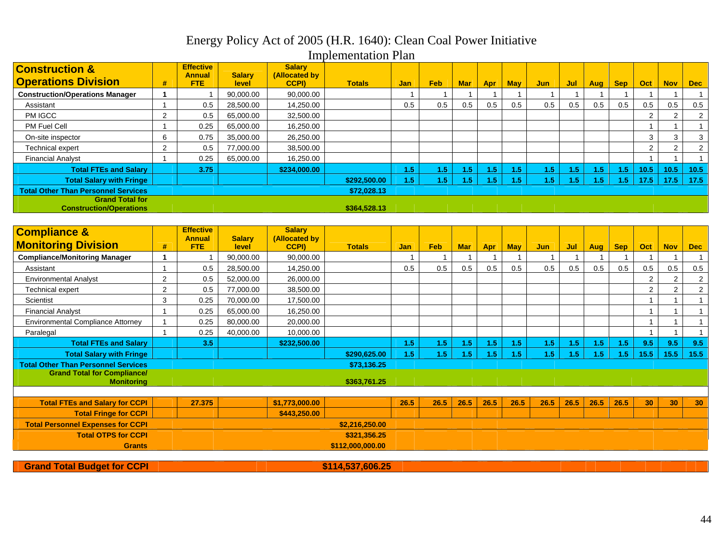# Energy Policy Act of 2005 (H.R. 1640): Clean Coal Power Initiative

Implementation Plan

| <b>Construction &amp;</b>                                |                | <b>Effective</b><br><b>Annual</b> | <b>Salary</b> | <b>Salary</b><br>(Allocated by |               |            |     |            |     |            |                  |                  |                  |                  |      |            |                |
|----------------------------------------------------------|----------------|-----------------------------------|---------------|--------------------------------|---------------|------------|-----|------------|-----|------------|------------------|------------------|------------------|------------------|------|------------|----------------|
| <b>Operations Division</b>                               | #              | <b>FTE</b>                        | level         | <b>CCPI)</b>                   | <b>Totals</b> | <b>Jan</b> | Feb | <b>Mar</b> | Apr | <b>May</b> | <b>Jun</b>       | Jul              | <b>Aug</b>       | <b>Sep</b>       | Oct  | <b>Nov</b> | <b>Dec</b>     |
| <b>Construction/Operations Manager</b>                   |                |                                   | 90,000.00     | 90,000.00                      |               |            |     |            |     |            |                  |                  |                  |                  |      |            |                |
| Assistant                                                |                | 0.5                               | 28,500.00     | 14,250.00                      |               | 0.5        | 0.5 | 0.5        | 0.5 | 0.5        | 0.5              | 0.5              | 0.5              | 0.5              | 0.5  | 0.5        | 0.5            |
| PM IGCC                                                  | $\mathcal{P}$  | 0.5                               | 65,000.00     | 32,500.00                      |               |            |     |            |     |            |                  |                  |                  |                  |      |            | $\overline{2}$ |
| <b>PM Fuel Cell</b>                                      |                | 0.25                              | 65,000.00     | 16,250.00                      |               |            |     |            |     |            |                  |                  |                  |                  |      |            |                |
| On-site inspector                                        | 6              | 0.75                              | 35,000.00     | 26.250.00                      |               |            |     |            |     |            |                  |                  |                  |                  | 3    |            | 3              |
| <b>Technical expert</b>                                  | $\overline{2}$ | 0.5                               | 77,000.00     | 38,500.00                      |               |            |     |            |     |            |                  |                  |                  |                  | 2    |            | $\overline{2}$ |
| <b>Financial Analyst</b>                                 |                | 0.25                              | 65,000.00     | 16,250.00                      |               |            |     |            |     |            |                  |                  |                  |                  |      |            |                |
| <b>Total FTEs and Salary</b>                             |                | 3.75                              |               | \$234.000.00                   |               | L5         | 1.5 | <b>5</b>   | -5  | 1.5        | 1.5              | 1.5              | 1.5 <sub>1</sub> | 1.5              | 10.5 | 10.5       | 10.5           |
| <b>Total Salary with Fringe</b>                          |                |                                   |               |                                | \$292,500.00  | <b>5</b>   | 1.5 | .5         | .5  | .5         | 1.5 <sub>1</sub> | 1.5 <sub>1</sub> | $\sqrt{5}$       | 1.5 <sub>1</sub> | 17.5 | 17.5       | 17.5           |
| <b>Total Other Than Personnel Services</b>               |                |                                   |               |                                | \$72,028.13   |            |     |            |     |            |                  |                  |                  |                  |      |            |                |
| <b>Grand Total for</b><br><b>Construction/Operations</b> |                |                                   |               |                                | \$364,528.13  |            |     |            |     |            |                  |                  |                  |                  |      |            |                |

| <b>Compliance &amp;</b>                                 |                | <b>Effective</b>      |                        | <b>Salary</b>          |                  |            |            |            |            |            |      |      |      |            |      |            |                |
|---------------------------------------------------------|----------------|-----------------------|------------------------|------------------------|------------------|------------|------------|------------|------------|------------|------|------|------|------------|------|------------|----------------|
| <b>Monitoring Division</b>                              | #              | <b>Annual</b><br>FTE. | <b>Salary</b><br>level | (Allocated by<br>CCPI) | <b>Totals</b>    | <b>Jan</b> | <b>Feb</b> | <b>Mar</b> | <b>Apr</b> | <b>May</b> | Jun  | Jul  | Aug  | <b>Sep</b> | Oct  | <b>Nov</b> | <b>Dec</b>     |
| <b>Compliance/Monitoring Manager</b>                    |                |                       | 90,000.00              | 90,000.00              |                  |            |            |            |            |            |      |      |      |            |      |            |                |
| Assistant                                               |                | 0.5                   | 28,500.00              | 14,250.00              |                  | 0.5        | 0.5        | 0.5        | 0.5        | 0.5        | 0.5  | 0.5  | 0.5  | 0.5        | 0.5  | 0.5        | 0.5            |
| <b>Environmental Analyst</b>                            | $\overline{2}$ | 0.5                   | 52,000.00              | 26,000.00              |                  |            |            |            |            |            |      |      |      |            | 2    | 2          | $\overline{2}$ |
| Technical expert                                        | $\overline{2}$ | 0.5                   | 77,000.00              | 38,500.00              |                  |            |            |            |            |            |      |      |      |            | 2    | 2          | $\overline{2}$ |
| Scientist                                               | 3              | 0.25                  | 70,000.00              | 17,500.00              |                  |            |            |            |            |            |      |      |      |            |      |            |                |
| <b>Financial Analyst</b>                                |                | 0.25                  | 65,000.00              | 16,250.00              |                  |            |            |            |            |            |      |      |      |            |      |            |                |
| <b>Environmental Compliance Attorney</b>                |                | 0.25                  | 80,000.00              | 20,000.00              |                  |            |            |            |            |            |      |      |      |            |      |            |                |
| Paralegal                                               |                | 0.25                  | 40,000.00              | 10,000.00              |                  |            |            |            |            |            |      |      |      |            |      |            |                |
| <b>Total FTEs and Salary</b>                            |                | 3.5                   |                        | \$232,500.00           |                  | 1.5        | 1.5        | 1.5        | 1.5        | 1.5        | 1.5  | 1.5  | 1.5  | 1.5        | 9.5  | 9.5        | 9.5            |
| <b>Total Salary with Fringe</b>                         |                |                       |                        |                        | \$290,625.00     | 1.5        | 1.5        | 457        | 1.5        | 1.5        | 1.5  | 1.5  | 1.5  | 1.5        | 15.5 | 15.5       | 15.5           |
| <b>Total Other Than Personnel Services</b>              |                |                       |                        |                        | \$73,136.25      |            |            |            |            |            |      |      |      |            |      |            |                |
| <b>Grand Total for Compliance/</b><br><b>Monitoring</b> |                |                       |                        |                        | \$363,761.25     |            |            |            |            |            |      |      |      |            |      |            |                |
|                                                         |                |                       |                        |                        |                  |            |            |            |            |            |      |      |      |            |      |            |                |
| <b>Total FTEs and Salary for CCPI</b>                   |                | 27.375                |                        | \$1,773,000.00         |                  | 26.5       | 26.5       | 26.5       | 26.5       | 26.5       | 26.5 | 26.5 | 26.5 | 26.5       | 30   | 30         | 30             |
| <b>Total Fringe for CCPI</b>                            |                |                       |                        | \$443,250.00           |                  |            |            |            |            |            |      |      |      |            |      |            |                |
| <b>Total Personnel Expenses for CCPI</b>                |                |                       |                        |                        | \$2,216,250.00   |            |            |            |            |            |      |      |      |            |      |            |                |
| <b>Total OTPS for CCPI</b>                              |                |                       |                        |                        | \$321,356.25     |            |            |            |            |            |      |      |      |            |      |            |                |
| <b>Grants</b>                                           |                |                       |                        |                        | \$112.000.000.00 |            |            |            |            |            |      |      |      |            |      |            |                |
|                                                         |                |                       |                        |                        |                  |            |            |            |            |            |      |      |      |            |      |            |                |

**Grand Total Budget for CCPI 8114,537,606.25**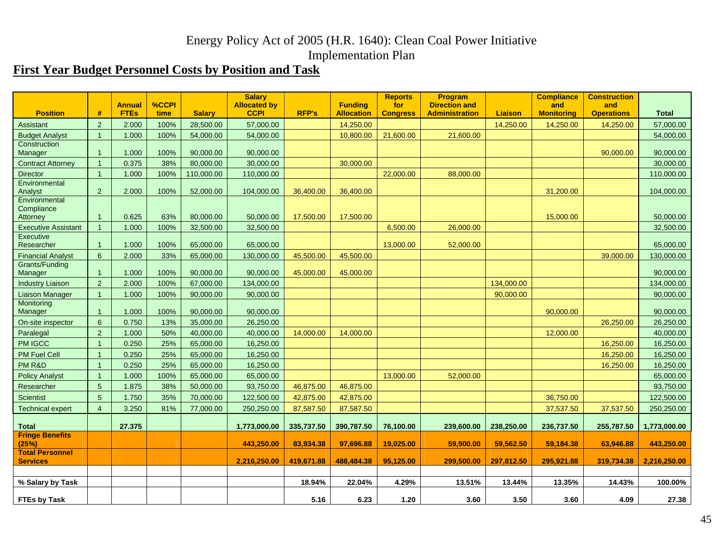# **First Year Budget Personnel Costs by Position and Task**

|                                           |                 | <b>Annual</b> | %CCPI |               | <b>Salary</b><br><b>Allocated by</b> |              | <b>Funding</b>    | <b>Reports</b><br>for | Program<br><b>Direction and</b> |                | <b>Compliance</b><br>and | <b>Construction</b><br>and |              |
|-------------------------------------------|-----------------|---------------|-------|---------------|--------------------------------------|--------------|-------------------|-----------------------|---------------------------------|----------------|--------------------------|----------------------------|--------------|
| <b>Position</b>                           | #               | <b>FTEs</b>   | time  | <b>Salary</b> | <b>CCPI</b>                          | <b>RFP's</b> | <b>Allocation</b> | <b>Congress</b>       | <b>Administration</b>           | <b>Liaison</b> | <b>Monitoring</b>        | <b>Operations</b>          | <b>Total</b> |
| Assistant                                 | 2               | 2.000         | 100%  | 28,500.00     | 57,000.00                            |              | 14,250.00         |                       |                                 | 14,250.00      | 14,250.00                | 14,250.00                  | 57,000.00    |
| <b>Budget Analyst</b>                     | $\overline{1}$  | 1.000         | 100%  | 54,000.00     | 54,000.00                            |              | 10,800.00         | 21,600.00             | 21,600.00                       |                |                          |                            | 54,000.00    |
| Construction<br>Manager                   | $\overline{1}$  | 1.000         | 100%  | 90,000.00     | 90,000.00                            |              |                   |                       |                                 |                |                          | 90,000.00                  | 90,000.00    |
| <b>Contract Attorney</b>                  | $\overline{1}$  | 0.375         | 38%   | 80,000.00     | 30,000.00                            |              | 30,000.00         |                       |                                 |                |                          |                            | 30,000.00    |
| <b>Director</b>                           | $\overline{1}$  | 1.000         | 100%  | 110,000.00    | 110,000.00                           |              |                   | 22,000.00             | 88,000.00                       |                |                          |                            | 110,000.00   |
| Environmental                             |                 |               |       |               |                                      |              |                   |                       |                                 |                |                          |                            |              |
| Analyst                                   | 2               | 2.000         | 100%  | 52,000.00     | 104,000.00                           | 36,400.00    | 36,400.00         |                       |                                 |                | 31,200.00                |                            | 104,000.00   |
| Environmental                             |                 |               |       |               |                                      |              |                   |                       |                                 |                |                          |                            |              |
| Compliance<br>Attorney                    | $\mathbf{1}$    | 0.625         | 63%   | 80,000.00     | 50,000.00                            | 17,500.00    | 17,500.00         |                       |                                 |                | 15,000.00                |                            | 50,000.00    |
| <b>Executive Assistant</b>                | $\overline{1}$  | 1.000         | 100%  | 32,500.00     | 32,500.00                            |              |                   | 6,500.00              | 26,000.00                       |                |                          |                            | 32,500.00    |
| Executive                                 |                 |               |       |               |                                      |              |                   |                       |                                 |                |                          |                            |              |
| Researcher                                | $\overline{1}$  | 1.000         | 100%  | 65,000.00     | 65,000.00                            |              |                   | 13,000.00             | 52,000.00                       |                |                          |                            | 65,000.00    |
| <b>Financial Analyst</b>                  | $6\overline{6}$ | 2.000         | 33%   | 65,000.00     | 130,000.00                           | 45,500.00    | 45,500.00         |                       |                                 |                |                          | 39,000.00                  | 130,000.00   |
| <b>Grants/Funding</b><br>Manager          | $\overline{1}$  | 1.000         | 100%  | 90,000.00     | 90,000.00                            | 45,000.00    | 45,000.00         |                       |                                 |                |                          |                            | 90,000.00    |
| <b>Industry Liaison</b>                   | 2               | 2.000         | 100%  | 67,000.00     | 134,000.00                           |              |                   |                       |                                 | 134,000.00     |                          |                            | 134,000.00   |
| <b>Liaison Manager</b>                    | $\overline{1}$  | 1.000         | 100%  | 90,000.00     | 90,000.00                            |              |                   |                       |                                 | 90,000.00      |                          |                            | 90,000.00    |
| Monitoring                                |                 |               |       |               |                                      |              |                   |                       |                                 |                |                          |                            |              |
| Manager                                   | $\overline{1}$  | 1.000         | 100%  | 90,000.00     | 90,000.00                            |              |                   |                       |                                 |                | 90,000.00                |                            | 90,000.00    |
| On-site inspector                         | 6               | 0.750         | 13%   | 35,000.00     | 26,250.00                            |              |                   |                       |                                 |                |                          | 26,250.00                  | 26,250.00    |
| Paralegal                                 | 2               | 1.000         | 50%   | 40,000.00     | 40,000.00                            | 14,000.00    | 14,000.00         |                       |                                 |                | 12,000.00                |                            | 40,000.00    |
| <b>PM IGCC</b>                            | $\overline{1}$  | 0.250         | 25%   | 65,000.00     | 16,250.00                            |              |                   |                       |                                 |                |                          | 16,250.00                  | 16,250.00    |
| <b>PM Fuel Cell</b>                       | $\overline{1}$  | 0.250         | 25%   | 65,000.00     | 16,250.00                            |              |                   |                       |                                 |                |                          | 16,250.00                  | 16,250.00    |
| PM R&D                                    | $\overline{1}$  | 0.250         | 25%   | 65,000.00     | 16,250.00                            |              |                   |                       |                                 |                |                          | 16,250.00                  | 16,250.00    |
| <b>Policy Analyst</b>                     | $\overline{1}$  | 1.000         | 100%  | 65,000.00     | 65,000.00                            |              |                   | 13,000.00             | 52,000.00                       |                |                          |                            | 65,000.00    |
| Researcher                                | 5               | 1.875         | 38%   | 50,000.00     | 93,750.00                            | 46,875.00    | 46,875.00         |                       |                                 |                |                          |                            | 93,750.00    |
| <b>Scientist</b>                          | 5               | 1.750         | 35%   | 70,000.00     | 122,500.00                           | 42,875.00    | 42,875.00         |                       |                                 |                | 36,750.00                |                            | 122,500.00   |
| <b>Technical expert</b>                   | $\overline{4}$  | 3.250         | 81%   | 77,000.00     | 250,250.00                           | 87,587.50    | 87,587.50         |                       |                                 |                | 37,537.50                | 37,537.50                  | 250,250.00   |
| <b>Total</b>                              |                 | 27.375        |       |               | 1,773,000.00                         | 335,737.50   | 390,787.50        | 76,100.00             | 239,600.00                      | 238,250.00     | 236,737.50               | 255,787.50                 | 1,773,000.00 |
| <b>Fringe Benefits</b>                    |                 |               |       |               |                                      |              |                   |                       |                                 |                |                          |                            |              |
| (25%)                                     |                 |               |       |               | 443,250.00                           | 83,934.38    | 97,696.88         | 19,025.00             | 59,900.00                       | 59,562.50      | 59,184.38                | 63,946.88                  | 443,250.00   |
| <b>Total Personnel</b><br><b>Services</b> |                 |               |       |               | 2,216,250.00                         | 419,671.88   | 488,484.38        | 95,125.00             | 299,500.00                      | 297,812.50     | 295,921.88               | 319,734.38                 | 2,216,250.00 |
|                                           |                 |               |       |               |                                      |              |                   |                       |                                 |                |                          |                            |              |
| % Salary by Task                          |                 |               |       |               |                                      | 18.94%       | 22.04%            | 4.29%                 | 13.51%                          | 13.44%         | 13.35%                   | 14.43%                     | 100.00%      |
| <b>FTEs by Task</b>                       |                 |               |       |               |                                      | 5.16         | 6.23              | 1.20                  | 3.60                            | 3.50           | 3.60                     | 4.09                       | 27.38        |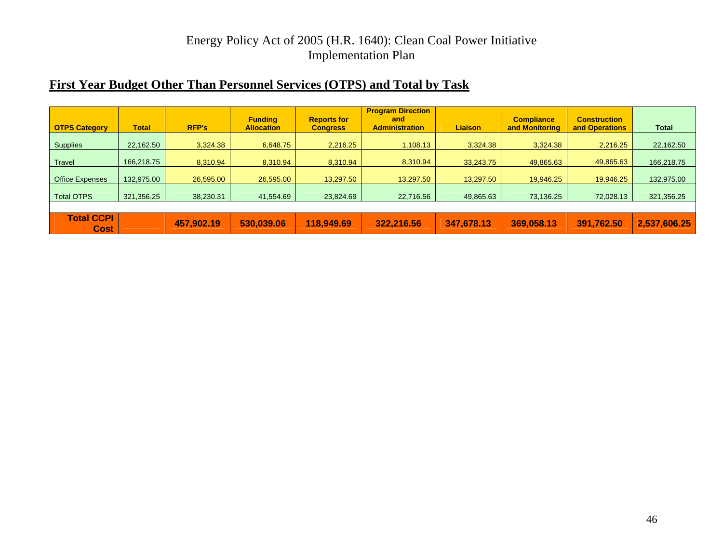## **First Year Budget Other Than Personnel Services (OTPS) and Total by Task**

| <b>OTPS Category</b>             | <b>Total</b> | <b>RFP's</b> | <b>Funding</b><br><b>Allocation</b> | <b>Reports for</b><br><b>Congress</b> | <b>Program Direction</b><br>and<br><b>Administration</b> | <b>Liaison</b> | <b>Compliance</b><br>and Monitoring | <b>Construction</b><br>and Operations | <b>Total</b> |
|----------------------------------|--------------|--------------|-------------------------------------|---------------------------------------|----------------------------------------------------------|----------------|-------------------------------------|---------------------------------------|--------------|
| <b>Supplies</b>                  | 22,162.50    | 3.324.38     | 6.648.75                            | 2.216.25                              | 1,108.13                                                 | 3.324.38       | 3.324.38                            | 2,216.25                              | 22,162.50    |
| <b>Travel</b>                    | 166,218.75   | 8.310.94     | 8,310.94                            | 8.310.94                              | 8,310.94                                                 | 33.243.75      | 49,865.63                           | 49,865.63                             | 166,218.75   |
| <b>Office Expenses</b>           | 132,975.00   | 26,595.00    | 26,595.00                           | 13.297.50                             | 13,297.50                                                | 13.297.50      | 19.946.25                           | 19.946.25                             | 132,975.00   |
| <b>Total OTPS</b>                | 321,356.25   | 38,230.31    | 41,554.69                           | 23.824.69                             | 22,716.56                                                | 49.865.63      | 73,136.25                           | 72,028.13                             | 321,356.25   |
|                                  |              |              |                                     |                                       |                                                          |                |                                     |                                       |              |
| <b>Total CCPI</b><br><b>Cost</b> |              | 457,902.19   | 530,039.06                          | 118,949.69                            | 322,216.56                                               | 347,678.13     | 369,058.13                          | 391,762.50                            | 2,537,606.25 |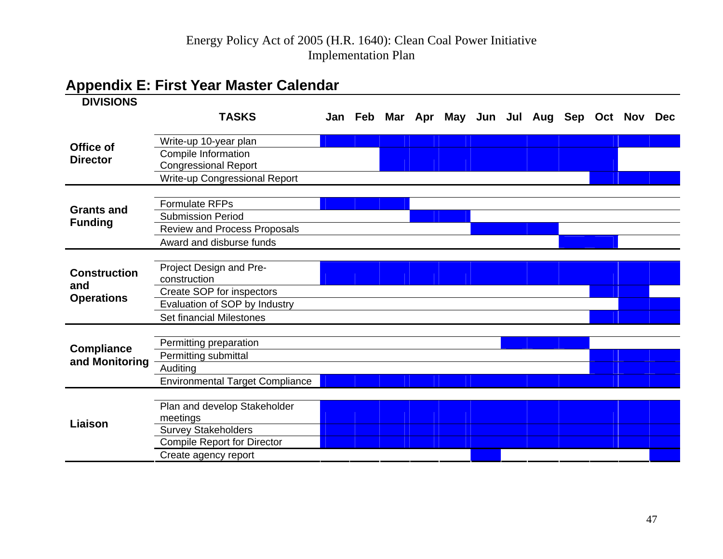# **Appendix E: First Year Master Calendar**

<span id="page-49-0"></span>

| <b>DIVISIONS</b>    |                                                           |  |  |  |                                                 |  |  |
|---------------------|-----------------------------------------------------------|--|--|--|-------------------------------------------------|--|--|
|                     | <b>TASKS</b>                                              |  |  |  | Jan Feb Mar Apr May Jun Jul Aug Sep Oct Nov Dec |  |  |
|                     |                                                           |  |  |  |                                                 |  |  |
| Office of           | Write-up 10-year plan                                     |  |  |  |                                                 |  |  |
| <b>Director</b>     | <b>Compile Information</b><br><b>Congressional Report</b> |  |  |  |                                                 |  |  |
|                     | <b>Write-up Congressional Report</b>                      |  |  |  |                                                 |  |  |
|                     |                                                           |  |  |  |                                                 |  |  |
| <b>Grants and</b>   | <b>Formulate RFPs</b>                                     |  |  |  |                                                 |  |  |
|                     | <b>Submission Period</b>                                  |  |  |  |                                                 |  |  |
| <b>Funding</b>      | <b>Review and Process Proposals</b>                       |  |  |  |                                                 |  |  |
|                     | Award and disburse funds                                  |  |  |  |                                                 |  |  |
|                     |                                                           |  |  |  |                                                 |  |  |
| <b>Construction</b> | Project Design and Pre-                                   |  |  |  |                                                 |  |  |
| and                 | construction                                              |  |  |  |                                                 |  |  |
| <b>Operations</b>   | Create SOP for inspectors                                 |  |  |  |                                                 |  |  |
|                     | Evaluation of SOP by Industry                             |  |  |  |                                                 |  |  |
|                     | Set financial Milestones                                  |  |  |  |                                                 |  |  |
|                     |                                                           |  |  |  |                                                 |  |  |
| <b>Compliance</b>   | Permitting preparation                                    |  |  |  |                                                 |  |  |
| and Monitoring      | Permitting submittal                                      |  |  |  |                                                 |  |  |
|                     | Auditing                                                  |  |  |  |                                                 |  |  |
|                     | <b>Environmental Target Compliance</b>                    |  |  |  |                                                 |  |  |
| Liaison             |                                                           |  |  |  |                                                 |  |  |
|                     | Plan and develop Stakeholder                              |  |  |  |                                                 |  |  |
|                     | meetings                                                  |  |  |  |                                                 |  |  |
|                     | <b>Survey Stakeholders</b>                                |  |  |  |                                                 |  |  |
|                     | <b>Compile Report for Director</b>                        |  |  |  |                                                 |  |  |
|                     | Create agency report                                      |  |  |  |                                                 |  |  |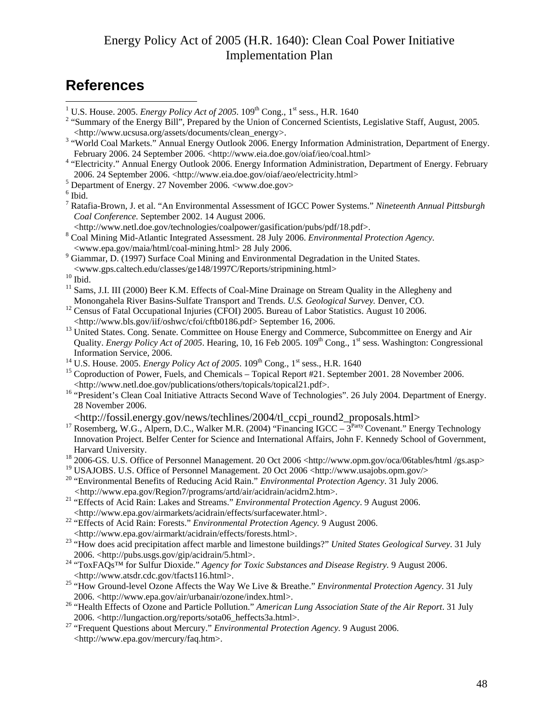# <span id="page-50-0"></span>**References**

<sup>5</sup> Department of Energy. 27 November 2006. <www.doe.gov>

- 7 Ratafia-Brown, J. et al. "An Environmental Assessment of IGCC Power Systems." *Nineteenth Annual Pittsburgh Coal Conference.* September 2002. 14 August 2006.
- <http://www.netl.doe.gov/technologies/coalpower/gasification/pubs/pdf/18.pdf>. 8 Coal Mining Mid-Atlantic Integrated Assessment. 28 July 2006. *Environmental Protection Agency.*
- <www.epa.gov/maia/html/coal-mining.html> 28 July 2006. 9 Giammar, D. (1997) Surface Coal Mining and Environmental Degradation in the United States.  $\leq$ www.gps.caltech.edu/classes/ge148/1997C/Reports/stripmining.html>  $^{10}$ Ibid

- <sup>11</sup> Sams, J.I. III (2000) Beer K.M. Effects of Coal-Mine Drainage on Stream Quality in the Allegheny and
- Monongahela River Basins-Sulfate Transport and Trends. *U.S. Geological Survey*. Denver, CO.<br><sup>12</sup> Census of Fatal Occupational Injuries (CFOI) 2005. Bureau of Labor Statistics. August 10 2006.<br>
<http://www.bls.gov/iif/oshw
- <sup>13</sup> United States. Cong. Senate. Committee on House Energy and Commerce, Subcommittee on Energy and Air Quality. *Energy Policy Act of 2005*. Hearing, 10, 16 Feb 2005. 109<sup>th</sup> Cong., 1<sup>st</sup> sess. Washington: Congressional Information Service, 2006.<br><sup>14</sup> U.S. House. 2005. *Energy Policy Act of 2005*. 109<sup>th</sup> Cong., 1<sup>st</sup> sess., H.R. 1640<br><sup>15</sup> Coproduction of Power, Fuels, and Chemicals – Topical Report #21. September 2001. 28 November 2006.
- 
- <http://www.netl.doe.gov/publications/others/topicals/topical21.pdf>. 16 "President's Clean Coal Initiative Attracts Second Wave of Technologies". 26 July 2004. Department of Energy.
- 28 November 2006.

- <http://fossil.energy.gov/news/techlines/2004/tl\_ccpi\_round2\_proposals.html> 17 Rosemberg, W.G., Alpern, D.C., Walker M.R. (2004) "Financing IGCC 3Party Covenant." Energy Technology Innovation Project. Belfer Center for Science and International Affairs, John F. Kennedy School of Government, Harvard University.<br><sup>18</sup> 2006-GS. U.S. Office of Personnel Management. 20 Oct 2006 <http://www.opm.gov/oca/06tables/html /gs.asp>
- 
- <sup>19</sup> USAJOBS. U.S. Office of Personnel Management. 20 Oct 2006 <http://www.usajobs.opm.gov/>
- 20 "Environmental Benefits of Reducing Acid Rain." *Environmental Protection Agency*. 31 July 2006.
- *<sup>&</sup>lt;*http://www.epa.gov/Region7/programs/artd/air/acidrain/acidrn2.htm>. 21 "Effects of Acid Rain: Lakes and Streams." *Environmental Protection Agency*. 9 August 2006.
- <sup>22</sup> "Effects of Acid Rain: Forests." *Environmental Protection Agency*. 9 August 2006.
- 
- <http://www.epa.gov/airmarkt/acidrain/effects/forests.html>. 23 "How does acid precipitation affect marble and limestone buildings?" *United States Geological Survey*. 31 July
- 2006. <http://pubs.usgs.gov/gip/acidrain/5.html>. 24 "ToxFAQs™ for Sulfur Dioxide." *Agency for Toxic Substances and Disease Registry.* 9 August 2006.
- <http://www.atsdr.cdc.gov/tfacts116.html>. 25 "How Ground-level Ozone Affects the Way We Live & Breathe." *Environmental Protection Agency*. 31 July
- 2006. <http://www.epa.gov/air/urbanair/ozone/index.html>. 26 "Health Effects of Ozone and Particle Pollution." *American Lung Association State of the Air Report*. 31 July 2006. <http://lungaction.org/reports/sota06\_heffects3a.html>. 27 "Frequent Questions about Mercury." *Environmental Protection Agency.* 9 August 2006.
- <http://www.epa.gov/mercury/faq.htm>.

<sup>&</sup>lt;sup>1</sup> U.S. House. 2005. *Energy Policy Act of 2005*. 109<sup>th</sup> Cong., 1<sup>st</sup> sess., H.R. 1640<sup>2</sup> "Summary of the Energy Policy Act of 2005. 109<sup>th</sup> Cong., 1<sup>st</sup> sess., H.R. 1640<sup>2</sup>

<sup>&</sup>lt;sup>2</sup> "Summary of the Energy Bill", Prepared by the Union of Concerned Scientists, Legislative Staff, August, 2005. <http://www.ucsusa.org/assets/documents/clean\_energy>. 3

<sup>&</sup>lt;sup>3</sup> "World Coal Markets." Annual Energy Outlook 2006. Energy Information Administration, Department of Energy.

February 2006. 24 September 2006. <http://www.eia.doe.gov/oiaf/ieo/coal.html><br><sup>4</sup> "Electricity." Annual Energy Outlook 2006. Energy Information Administration, Department of Energy. February 2006. 24 September 2006. <http://www.eia.doe.gov/oiaf/aeo/electricity.html> 5

 $6$  Ibid.